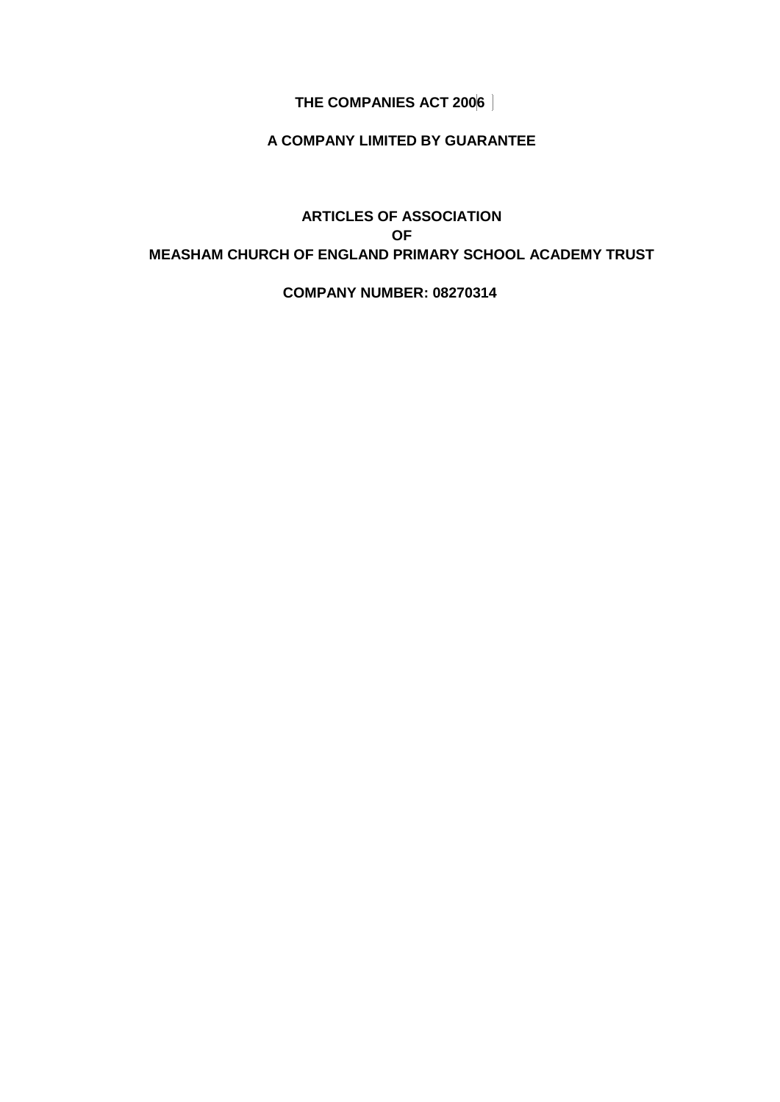# **THE COMPANIES ACT 2006**

# **A COMPANY LIMITED BY GUARANTEE**

# **ARTICLES OF ASSOCIATION OF MEASHAM CHURCH OF ENGLAND PRIMARY SCHOOL ACADEMY TRUST**

#### **COMPANY NUMBER: 08270314**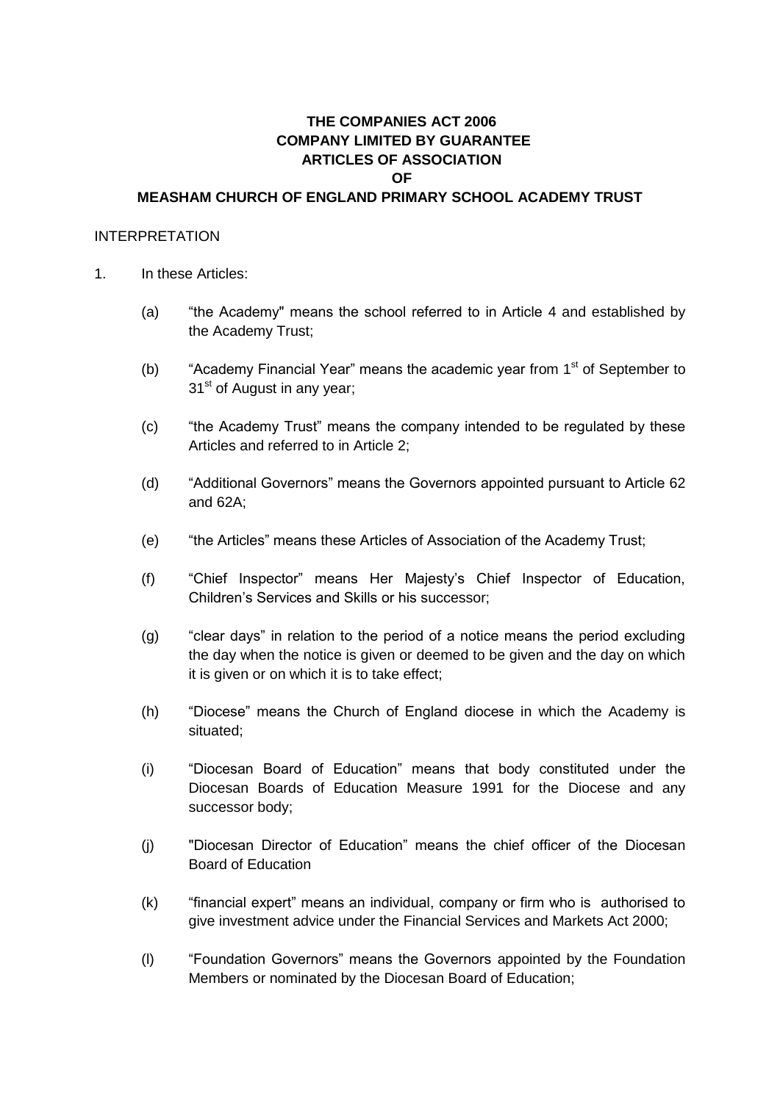# **THE COMPANIES ACT 2006 COMPANY LIMITED BY GUARANTEE ARTICLES OF ASSOCIATION OF MEASHAM CHURCH OF ENGLAND PRIMARY SCHOOL ACADEMY TRUST**

#### INTERPRETATION

- 1. In these Articles:
	- (a) "the Academy" means the school referred to in Article 4 and established by the Academy Trust;
	- (b) "Academy Financial Year" means the academic year from  $1<sup>st</sup>$  of September to 31<sup>st</sup> of August in any year;
	- (c) "the Academy Trust" means the company intended to be regulated by these Articles and referred to in Article [2;](#page-4-0)
	- (d) "Additional Governors" means the Governors appointed pursuant to Article [62](#page-18-0) and [62A](#page-18-0);
	- (e) "the Articles" means these Articles of Association of the Academy Trust;
	- (f) "Chief Inspector" means Her Majesty's Chief Inspector of Education, Children's Services and Skills or his successor;
	- (g) "clear days" in relation to the period of a notice means the period excluding the day when the notice is given or deemed to be given and the day on which it is given or on which it is to take effect;
	- (h) "Diocese" means the Church of England diocese in which the Academy is situated;
	- (i) "Diocesan Board of Education" means that body constituted under the Diocesan Boards of Education Measure 1991 for the Diocese and any successor body;
	- (j) "Diocesan Director of Education" means the chief officer of the Diocesan Board of Education
	- (k) "financial expert" means an individual, company or firm who is authorised to give investment advice under the Financial Services and Markets Act 2000;
	- (l) "Foundation Governors" means the Governors appointed by the Foundation Members or nominated by the Diocesan Board of Education;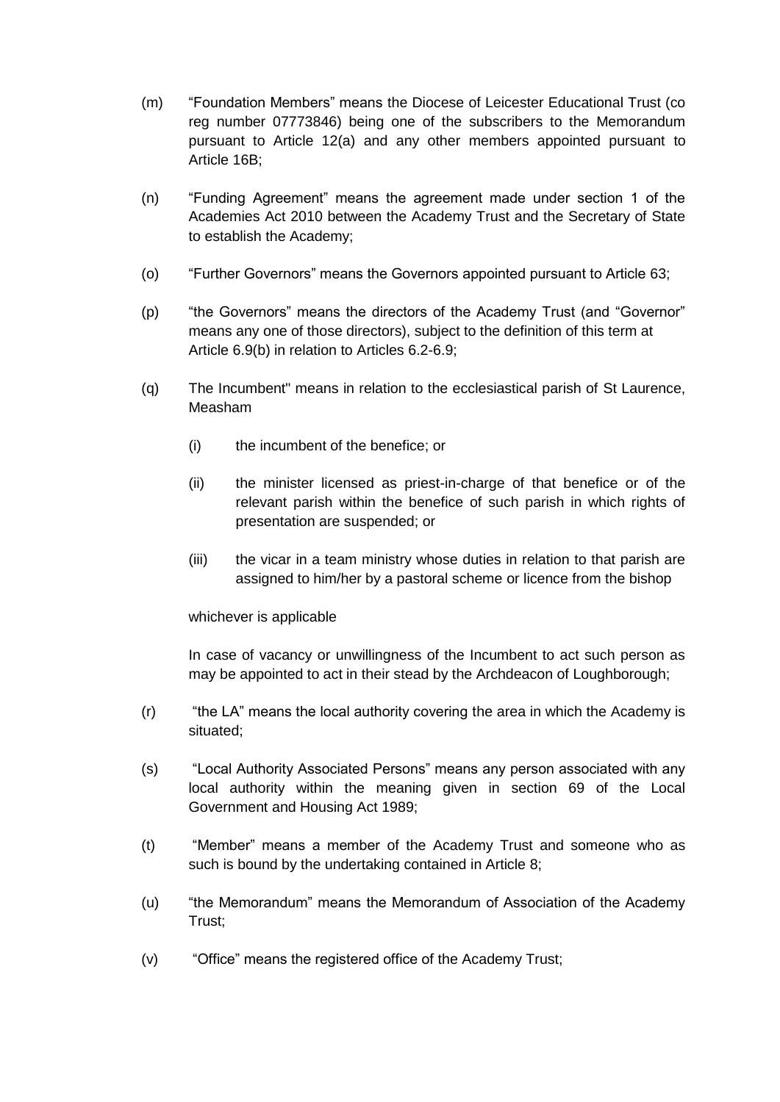- (m) "Foundation Members" means the Diocese of Leicester Educational Trust (co reg number 07773846) being one of the subscribers to the Memorandum pursuant to Article 12(a) and any other members appointed pursuant to Article 16B;
- (n) "Funding Agreement" means the agreement made under section 1 of the Academies Act 2010 between the Academy Trust and the Secretary of State to establish the Academy;
- (o) "Further Governors" means the Governors appointed pursuant to Article [63;](#page-19-0)
- (p) "the Governors" means the directors of the Academy Trust (and "Governor" means any one of those directors), subject to the definition of this term at Article 6.9(b) in relation to Articles [6.2](#page-6-0)[-6.9;](#page-9-0)
- (q) The Incumbent" means in relation to the ecclesiastical parish of St Laurence, Measham
	- (i) the incumbent of the benefice; or
	- (ii) the minister licensed as priest-in-charge of that benefice or of the relevant parish within the benefice of such parish in which rights of presentation are suspended; or
	- (iii) the vicar in a team ministry whose duties in relation to that parish are assigned to him/her by a pastoral scheme or licence from the bishop

### whichever is applicable

In case of vacancy or unwillingness of the Incumbent to act such person as may be appointed to act in their stead by the Archdeacon of Loughborough;

- (r) "the LA" means the local authority covering the area in which the Academy is situated;
- (s) "Local Authority Associated Persons" means any person associated with any local authority within the meaning given in section 69 of the Local Government and Housing Act 1989;
- (t) "Member" means a member of the Academy Trust and someone who as such is bound by the undertaking contained in Article [8;](#page-9-1)
- (u) "the Memorandum" means the Memorandum of Association of the Academy Trust;
- (v) "Office" means the registered office of the Academy Trust;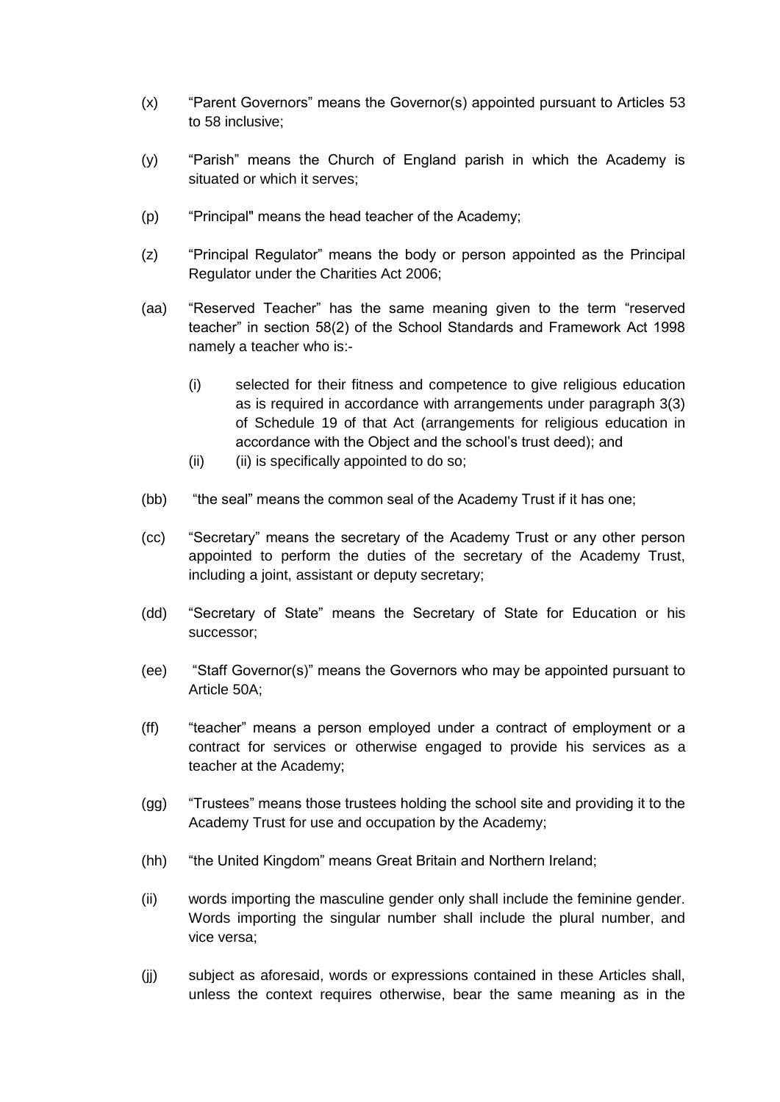- (x) "Parent Governors" means the Governor(s) appointed pursuant to Articles [53](#page-17-0) to [58](#page-17-1) inclusive;
- (y) "Parish" means the Church of England parish in which the Academy is situated or which it serves;
- (p) "Principal" means the head teacher of the Academy;
- (z) "Principal Regulator" means the body or person appointed as the Principal Regulator under the Charities Act 2006;
- (aa) "Reserved Teacher" has the same meaning given to the term "reserved teacher" in section 58(2) of the School Standards and Framework Act 1998 namely a teacher who is:-
	- (i) selected for their fitness and competence to give religious education as is required in accordance with arrangements under paragraph 3(3) of Schedule 19 of that Act (arrangements for religious education in accordance with the Object and the school's trust deed); and
	- (ii) (ii) is specifically appointed to do so;
- (bb) "the seal" means the common seal of the Academy Trust if it has one;
- (cc) "Secretary" means the secretary of the Academy Trust or any other person appointed to perform the duties of the secretary of the Academy Trust, including a joint, assistant or deputy secretary;
- (dd) "Secretary of State" means the Secretary of State for Education or his successor;
- (ee) "Staff Governor(s)" means the Governors who may be appointed pursuant to Article 50A;
- (ff) "teacher" means a person employed under a contract of employment or a contract for services or otherwise engaged to provide his services as a teacher at the Academy;
- (gg) "Trustees" means those trustees holding the school site and providing it to the Academy Trust for use and occupation by the Academy;
- (hh) "the United Kingdom" means Great Britain and Northern Ireland;
- (ii) words importing the masculine gender only shall include the feminine gender. Words importing the singular number shall include the plural number, and vice versa;
- (jj) subject as aforesaid, words or expressions contained in these Articles shall, unless the context requires otherwise, bear the same meaning as in the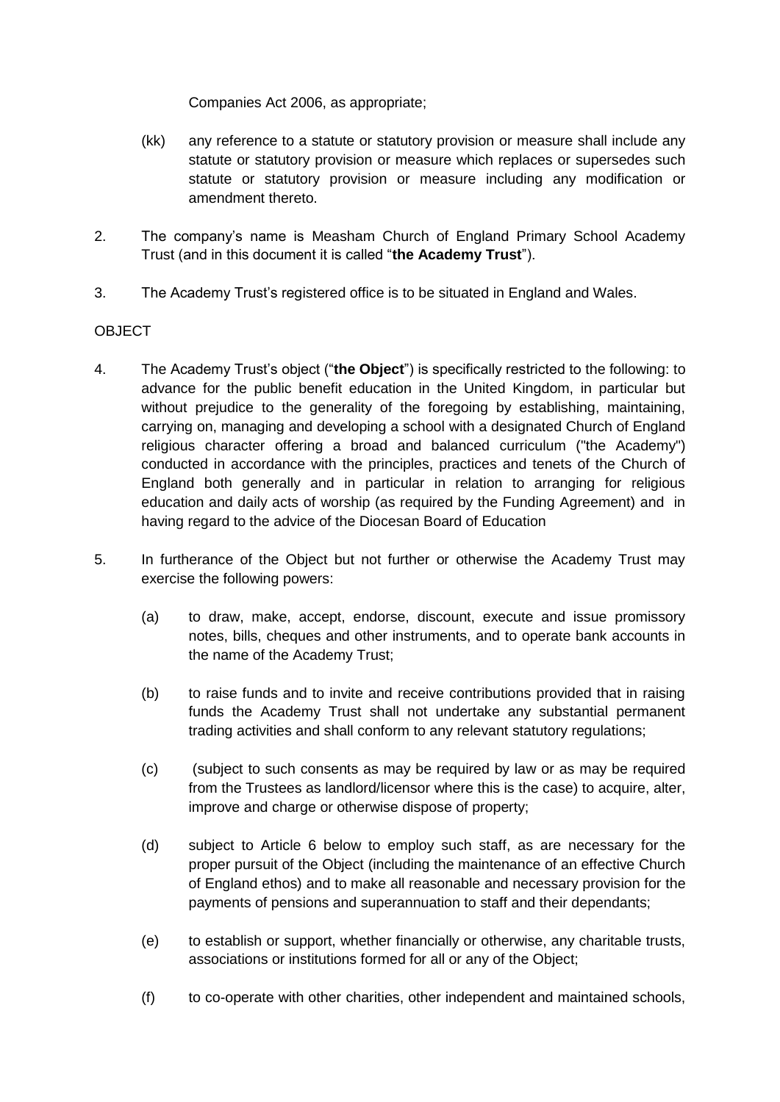Companies Act 2006, as appropriate;

- (kk) any reference to a statute or statutory provision or measure shall include any statute or statutory provision or measure which replaces or supersedes such statute or statutory provision or measure including any modification or amendment thereto.
- <span id="page-4-0"></span>2. The company's name is Measham Church of England Primary School Academy Trust (and in this document it is called "**the Academy Trust**").
- 3. The Academy Trust's registered office is to be situated in England and Wales.

# **OBJECT**

- 4. The Academy Trust's object ("**the Object**") is specifically restricted to the following: to advance for the public benefit education in the United Kingdom, in particular but without prejudice to the generality of the foregoing by establishing, maintaining, carrying on, managing and developing a school with a designated Church of England religious character offering a broad and balanced curriculum ("the Academy") conducted in accordance with the principles, practices and tenets of the Church of England both generally and in particular in relation to arranging for religious education and daily acts of worship (as required by the Funding Agreement) and in having regard to the advice of the Diocesan Board of Education
- 5. In furtherance of the Object but not further or otherwise the Academy Trust may exercise the following powers:
	- (a) to draw, make, accept, endorse, discount, execute and issue promissory notes, bills, cheques and other instruments, and to operate bank accounts in the name of the Academy Trust;
	- (b) to raise funds and to invite and receive contributions provided that in raising funds the Academy Trust shall not undertake any substantial permanent trading activities and shall conform to any relevant statutory regulations;
	- (c) (subject to such consents as may be required by law or as may be required from the Trustees as landlord/licensor where this is the case) to acquire, alter, improve and charge or otherwise dispose of property;
	- (d) subject to Article [6](#page-6-1) below to employ such staff, as are necessary for the proper pursuit of the Object (including the maintenance of an effective Church of England ethos) and to make all reasonable and necessary provision for the payments of pensions and superannuation to staff and their dependants;
	- (e) to establish or support, whether financially or otherwise, any charitable trusts, associations or institutions formed for all or any of the Object;
	- (f) to co-operate with other charities, other independent and maintained schools,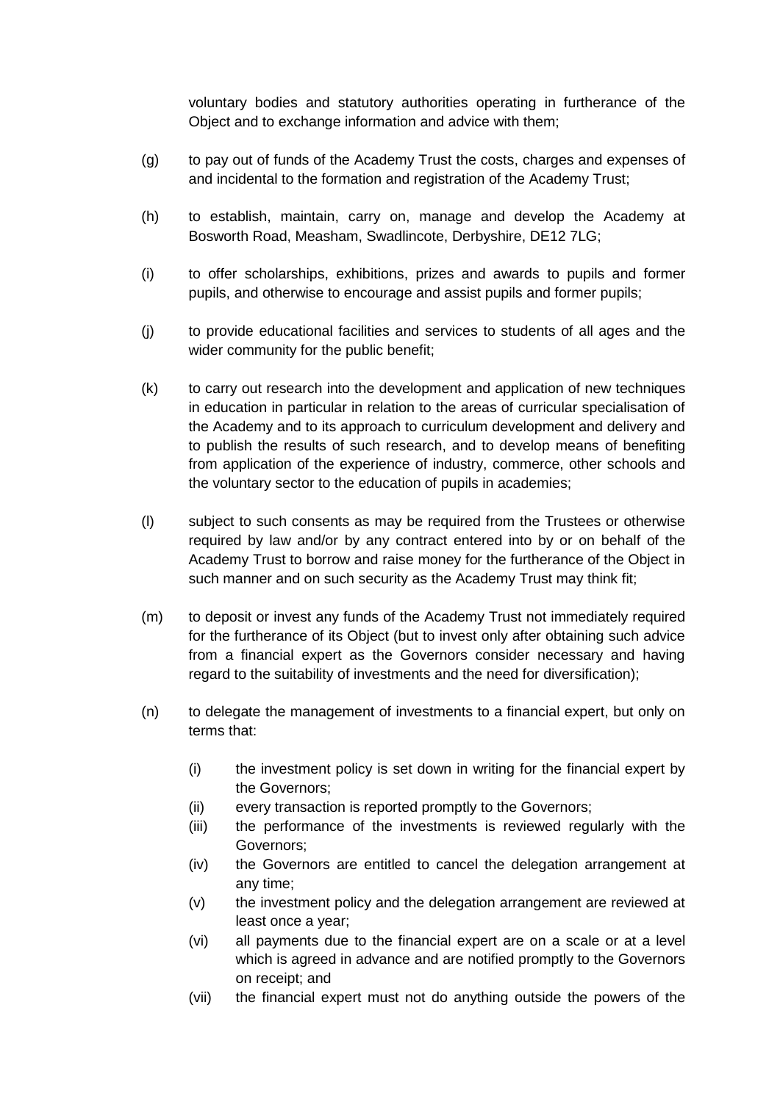voluntary bodies and statutory authorities operating in furtherance of the Object and to exchange information and advice with them;

- (g) to pay out of funds of the Academy Trust the costs, charges and expenses of and incidental to the formation and registration of the Academy Trust;
- (h) to establish, maintain, carry on, manage and develop the Academy at Bosworth Road, Measham, Swadlincote, Derbyshire, DE12 7LG;
- (i) to offer scholarships, exhibitions, prizes and awards to pupils and former pupils, and otherwise to encourage and assist pupils and former pupils;
- (j) to provide educational facilities and services to students of all ages and the wider community for the public benefit;
- (k) to carry out research into the development and application of new techniques in education in particular in relation to the areas of curricular specialisation of the Academy and to its approach to curriculum development and delivery and to publish the results of such research, and to develop means of benefiting from application of the experience of industry, commerce, other schools and the voluntary sector to the education of pupils in academies;
- (l) subject to such consents as may be required from the Trustees or otherwise required by law and/or by any contract entered into by or on behalf of the Academy Trust to borrow and raise money for the furtherance of the Object in such manner and on such security as the Academy Trust may think fit;
- (m) to deposit or invest any funds of the Academy Trust not immediately required for the furtherance of its Object (but to invest only after obtaining such advice from a financial expert as the Governors consider necessary and having regard to the suitability of investments and the need for diversification);
- (n) to delegate the management of investments to a financial expert, but only on terms that:
	- (i) the investment policy is set down in writing for the financial expert by the Governors;
	- (ii) every transaction is reported promptly to the Governors;
	- (iii) the performance of the investments is reviewed regularly with the Governors;
	- (iv) the Governors are entitled to cancel the delegation arrangement at any time;
	- (v) the investment policy and the delegation arrangement are reviewed at least once a year;
	- (vi) all payments due to the financial expert are on a scale or at a level which is agreed in advance and are notified promptly to the Governors on receipt; and
	- (vii) the financial expert must not do anything outside the powers of the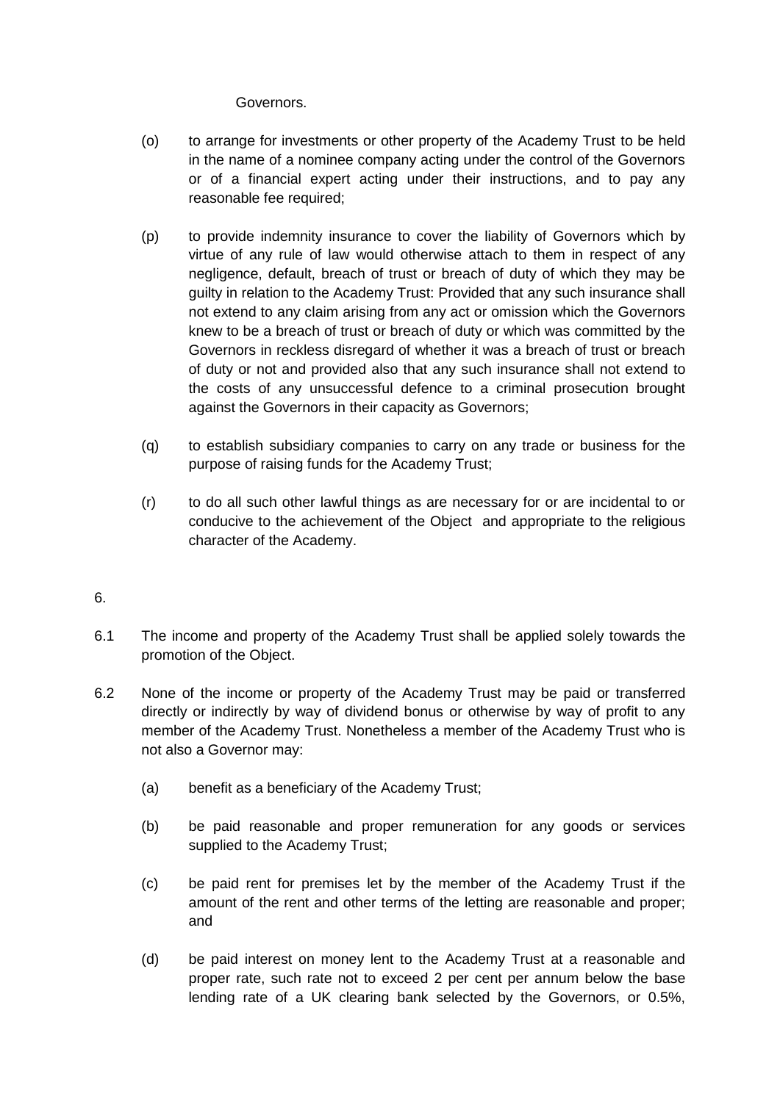### Governors.

- (o) to arrange for investments or other property of the Academy Trust to be held in the name of a nominee company acting under the control of the Governors or of a financial expert acting under their instructions, and to pay any reasonable fee required:
- (p) to provide indemnity insurance to cover the liability of Governors which by virtue of any rule of law would otherwise attach to them in respect of any negligence, default, breach of trust or breach of duty of which they may be guilty in relation to the Academy Trust: Provided that any such insurance shall not extend to any claim arising from any act or omission which the Governors knew to be a breach of trust or breach of duty or which was committed by the Governors in reckless disregard of whether it was a breach of trust or breach of duty or not and provided also that any such insurance shall not extend to the costs of any unsuccessful defence to a criminal prosecution brought against the Governors in their capacity as Governors;
- (q) to establish subsidiary companies to carry on any trade or business for the purpose of raising funds for the Academy Trust;
- (r) to do all such other lawful things as are necessary for or are incidental to or conducive to the achievement of the Object and appropriate to the religious character of the Academy.

### <span id="page-6-1"></span>6.

- 6.1 The income and property of the Academy Trust shall be applied solely towards the promotion of the Object.
- <span id="page-6-0"></span>6.2 None of the income or property of the Academy Trust may be paid or transferred directly or indirectly by way of dividend bonus or otherwise by way of profit to any member of the Academy Trust. Nonetheless a member of the Academy Trust who is not also a Governor may:
	- (a) benefit as a beneficiary of the Academy Trust;
	- (b) be paid reasonable and proper remuneration for any goods or services supplied to the Academy Trust;
	- (c) be paid rent for premises let by the member of the Academy Trust if the amount of the rent and other terms of the letting are reasonable and proper; and
	- (d) be paid interest on money lent to the Academy Trust at a reasonable and proper rate, such rate not to exceed 2 per cent per annum below the base lending rate of a UK clearing bank selected by the Governors, or 0.5%,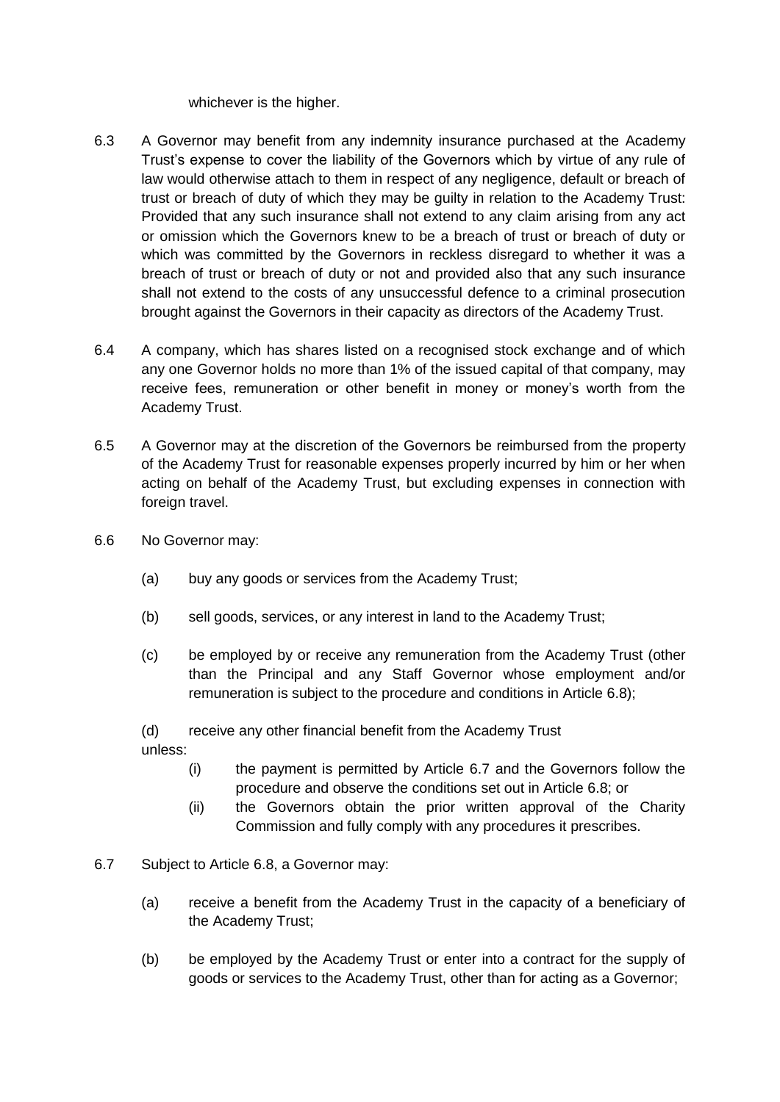whichever is the higher.

- 6.3 A Governor may benefit from any indemnity insurance purchased at the Academy Trust's expense to cover the liability of the Governors which by virtue of any rule of law would otherwise attach to them in respect of any negligence, default or breach of trust or breach of duty of which they may be guilty in relation to the Academy Trust: Provided that any such insurance shall not extend to any claim arising from any act or omission which the Governors knew to be a breach of trust or breach of duty or which was committed by the Governors in reckless disregard to whether it was a breach of trust or breach of duty or not and provided also that any such insurance shall not extend to the costs of any unsuccessful defence to a criminal prosecution brought against the Governors in their capacity as directors of the Academy Trust.
- 6.4 A company, which has shares listed on a recognised stock exchange and of which any one Governor holds no more than 1% of the issued capital of that company, may receive fees, remuneration or other benefit in money or money's worth from the Academy Trust.
- <span id="page-7-2"></span>6.5 A Governor may at the discretion of the Governors be reimbursed from the property of the Academy Trust for reasonable expenses properly incurred by him or her when acting on behalf of the Academy Trust, but excluding expenses in connection with foreign travel.
- 6.6 No Governor may:
	- (a) buy any goods or services from the Academy Trust;
	- (b) sell goods, services, or any interest in land to the Academy Trust;
	- (c) be employed by or receive any remuneration from the Academy Trust (other than the Principal and any Staff Governor whose employment and/or remuneration is subject to the procedure and conditions in Article [6.8\)](#page-8-0);

<span id="page-7-1"></span>(d) receive any other financial benefit from the Academy Trust unless:

- (i) the payment is permitted by Article [6.7](#page-7-0) and the Governors follow the procedure and observe the conditions set out in Article [6.8;](#page-8-0) or
- (ii) the Governors obtain the prior written approval of the Charity Commission and fully comply with any procedures it prescribes.
- <span id="page-7-0"></span>6.7 Subject to Article [6.8,](#page-8-0) a Governor may:
	- (a) receive a benefit from the Academy Trust in the capacity of a beneficiary of the Academy Trust;
	- (b) be employed by the Academy Trust or enter into a contract for the supply of goods or services to the Academy Trust, other than for acting as a Governor;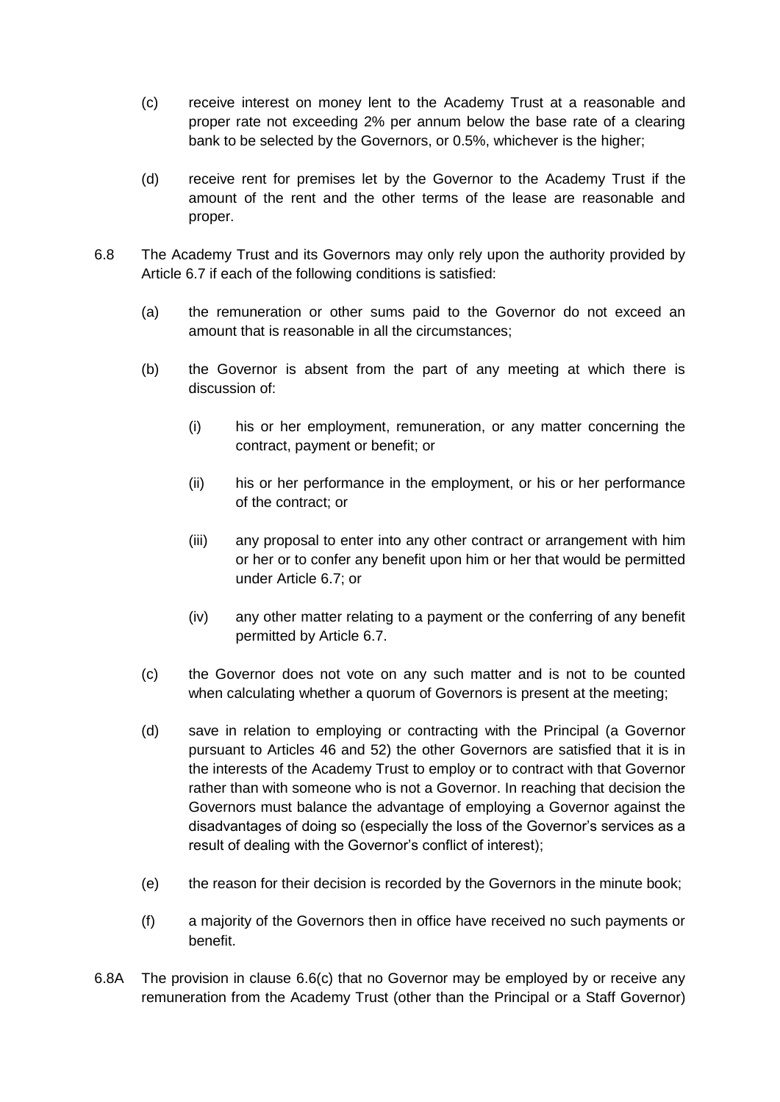- (c) receive interest on money lent to the Academy Trust at a reasonable and proper rate not exceeding 2% per annum below the base rate of a clearing bank to be selected by the Governors, or 0.5%, whichever is the higher;
- (d) receive rent for premises let by the Governor to the Academy Trust if the amount of the rent and the other terms of the lease are reasonable and proper.
- <span id="page-8-2"></span><span id="page-8-1"></span><span id="page-8-0"></span>6.8 The Academy Trust and its Governors may only rely upon the authority provided by Article [6.7](#page-7-0) if each of the following conditions is satisfied:
	- (a) the remuneration or other sums paid to the Governor do not exceed an amount that is reasonable in all the circumstances;
	- (b) the Governor is absent from the part of any meeting at which there is discussion of:
		- (i) his or her employment, remuneration, or any matter concerning the contract, payment or benefit; or
		- (ii) his or her performance in the employment, or his or her performance of the contract; or
		- (iii) any proposal to enter into any other contract or arrangement with him or her or to confer any benefit upon him or her that would be permitted under Article [6.7;](#page-7-0) or
		- (iv) any other matter relating to a payment or the conferring of any benefit permitted by Article [6.7.](#page-7-0)
	- (c) the Governor does not vote on any such matter and is not to be counted when calculating whether a quorum of Governors is present at the meeting;
	- (d) save in relation to employing or contracting with the Principal (a Governor pursuant to Articles [46](#page-16-0) and [52\)](#page-17-2) the other Governors are satisfied that it is in the interests of the Academy Trust to employ or to contract with that Governor rather than with someone who is not a Governor. In reaching that decision the Governors must balance the advantage of employing a Governor against the disadvantages of doing so (especially the loss of the Governor's services as a result of dealing with the Governor's conflict of interest);
	- (e) the reason for their decision is recorded by the Governors in the minute book;
	- (f) a majority of the Governors then in office have received no such payments or benefit.
- <span id="page-8-3"></span>[6.8A](#page-8-0) The provision in clause [6.6\(c\)](#page-7-1) that no Governor may be employed by or receive any remuneration from the Academy Trust (other than the Principal or a Staff Governor)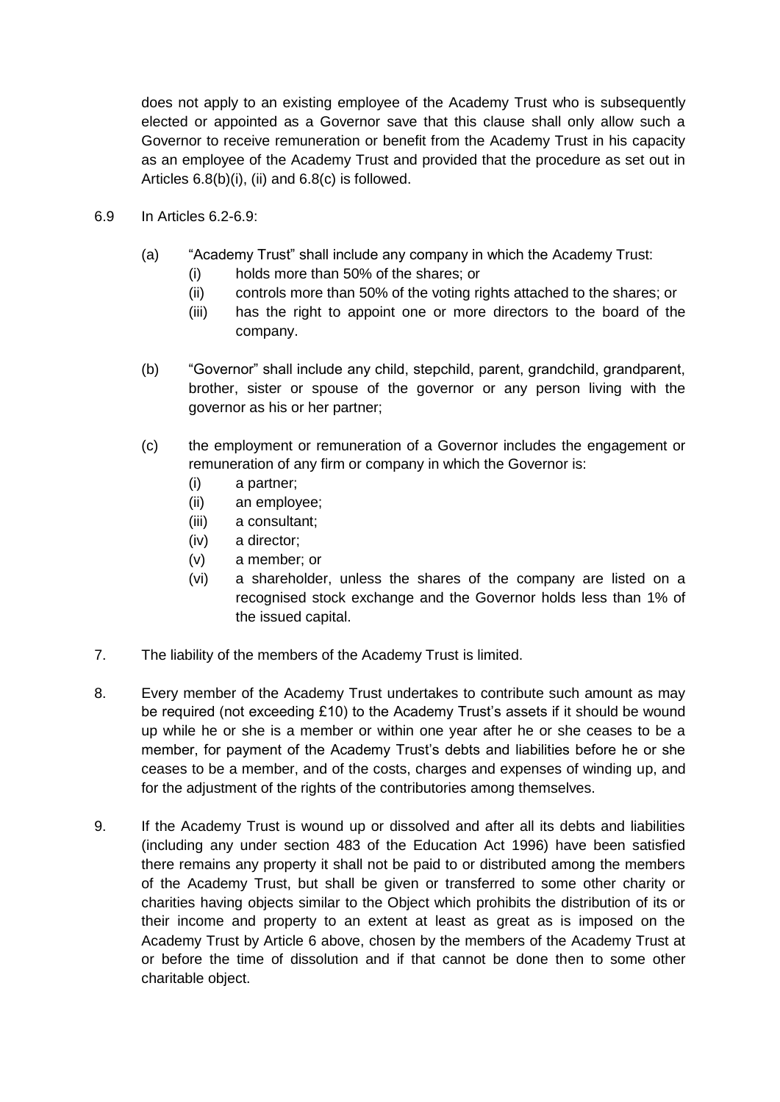does not apply to an existing employee of the Academy Trust who is subsequently elected or appointed as a Governor save that this clause shall only allow such a Governor to receive remuneration or benefit from the Academy Trust in his capacity as an employee of the Academy Trust and provided that the procedure as set out in Articles [6.8\(b\)\(i\),](#page-8-1) [\(ii\)](#page-8-2) and [6.8\(c\)](#page-8-3) is followed.

- <span id="page-9-0"></span>6.9 In Articles [6.2](#page-6-0)[-6.9:](#page-9-0)
	- (a) "Academy Trust" shall include any company in which the Academy Trust:
		- (i) holds more than 50% of the shares; or
		- (ii) controls more than 50% of the voting rights attached to the shares; or
		- (iii) has the right to appoint one or more directors to the board of the company.
	- (b) "Governor" shall include any child, stepchild, parent, grandchild, grandparent, brother, sister or spouse of the governor or any person living with the governor as his or her partner;
	- (c) the employment or remuneration of a Governor includes the engagement or remuneration of any firm or company in which the Governor is:
		- (i) a partner;
		- (ii) an employee;
		- (iii) a consultant;
		- (iv) a director;
		- (v) a member; or
		- (vi) a shareholder, unless the shares of the company are listed on a recognised stock exchange and the Governor holds less than 1% of the issued capital.
- 7. The liability of the members of the Academy Trust is limited.
- <span id="page-9-1"></span>8. Every member of the Academy Trust undertakes to contribute such amount as may be required (not exceeding £10) to the Academy Trust's assets if it should be wound up while he or she is a member or within one year after he or she ceases to be a member, for payment of the Academy Trust's debts and liabilities before he or she ceases to be a member, and of the costs, charges and expenses of winding up, and for the adjustment of the rights of the contributories among themselves.
- 9. If the Academy Trust is wound up or dissolved and after all its debts and liabilities (including any under section 483 of the Education Act 1996) have been satisfied there remains any property it shall not be paid to or distributed among the members of the Academy Trust, but shall be given or transferred to some other charity or charities having objects similar to the Object which prohibits the distribution of its or their income and property to an extent at least as great as is imposed on the Academy Trust by Article [6](#page-6-1) above, chosen by the members of the Academy Trust at or before the time of dissolution and if that cannot be done then to some other charitable object.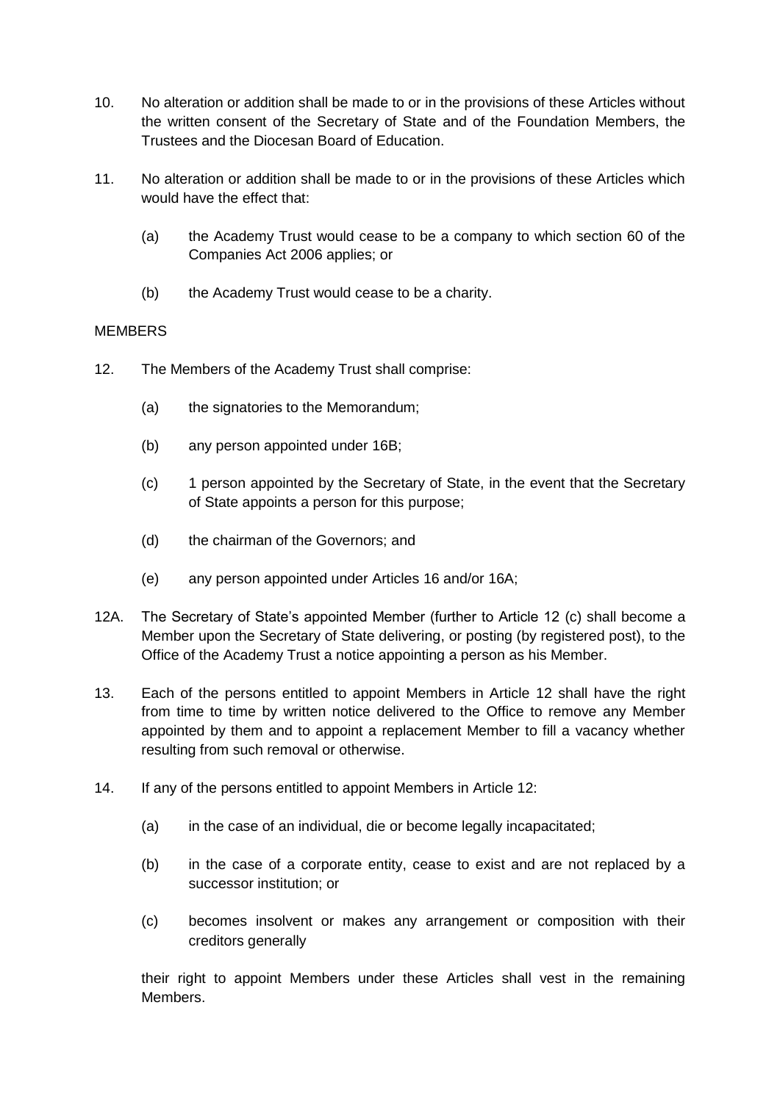- 10. No alteration or addition shall be made to or in the provisions of these Articles without the written consent of the Secretary of State and of the Foundation Members, the Trustees and the Diocesan Board of Education.
- 11. No alteration or addition shall be made to or in the provisions of these Articles which would have the effect that:
	- (a) the Academy Trust would cease to be a company to which section 60 of the Companies Act 2006 applies; or
	- (b) the Academy Trust would cease to be a charity.

# **MEMBERS**

- <span id="page-10-1"></span><span id="page-10-0"></span>12. The Members of the Academy Trust shall comprise:
	- (a) the signatories to the Memorandum;
	- (b) any person appointed under 16B;
	- (c) 1 person appointed by the Secretary of State, in the event that the Secretary of State appoints a person for this purpose;
	- (d) the chairman of the Governors; and
	- (e) any person appointed under Articles 16 and/or [16A](#page-11-0);
- 12A. The Secretary of State's appointed Member (further to Article 12 (c) shall become a Member upon the Secretary of State delivering, or posting (by registered post), to the Office of the Academy Trust a notice appointing a person as his Member.
- <span id="page-10-2"></span>13. Each of the persons entitled to appoint Members in Article [12](#page-10-0) shall have the right from time to time by written notice delivered to the Office to remove any Member appointed by them and to appoint a replacement Member to fill a vacancy whether resulting from such removal or otherwise.
- 14. If any of the persons entitled to appoint Members in Article [12:](#page-10-0)
	- (a) in the case of an individual, die or become legally incapacitated;
	- (b) in the case of a corporate entity, cease to exist and are not replaced by a successor institution; or
	- (c) becomes insolvent or makes any arrangement or composition with their creditors generally

their right to appoint Members under these Articles shall vest in the remaining Members.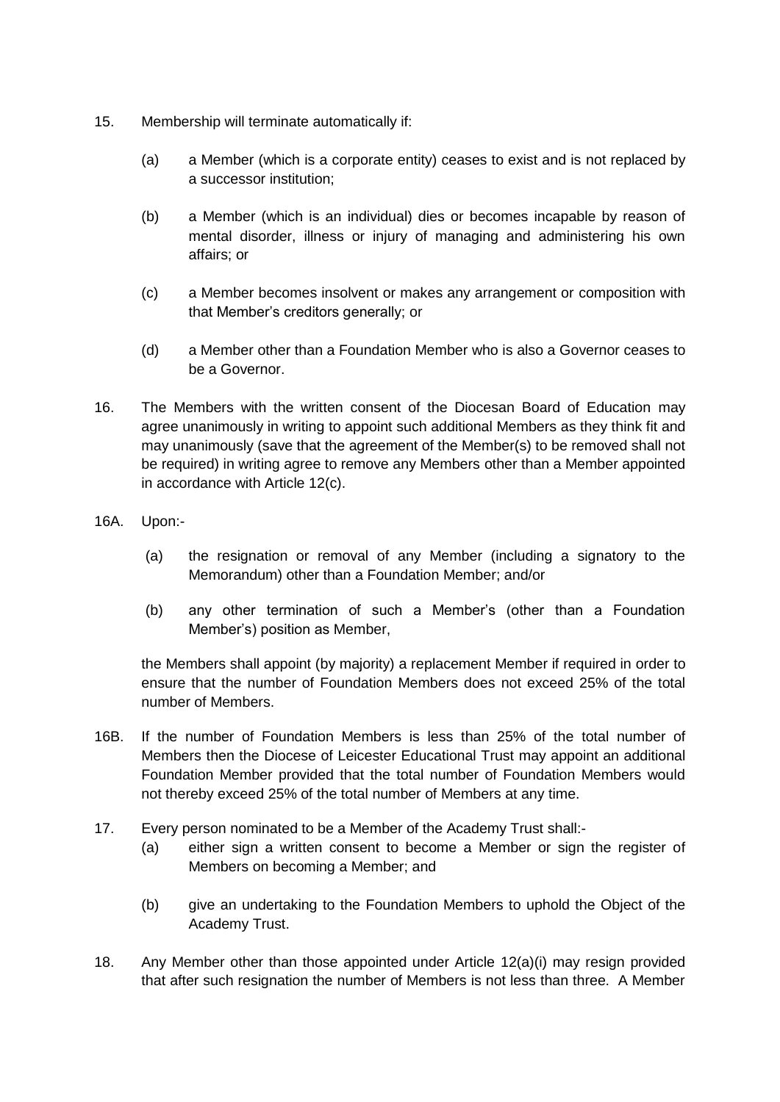- 15. Membership will terminate automatically if:
	- (a) a Member (which is a corporate entity) ceases to exist and is not replaced by a successor institution;
	- (b) a Member (which is an individual) dies or becomes incapable by reason of mental disorder, illness or injury of managing and administering his own affairs; or
	- (c) a Member becomes insolvent or makes any arrangement or composition with that Member's creditors generally; or
	- (d) a Member other than a Foundation Member who is also a Governor ceases to be a Governor.
- <span id="page-11-0"></span>16. The Members with the written consent of the Diocesan Board of Education may agree unanimously in writing to appoint such additional Members as they think fit and may unanimously (save that the agreement of the Member(s) to be removed shall not be required) in writing agree to remove any Members other than a Member appointed in accordance with Article [12\(c\).](#page-10-1)
- 16A. Upon:-
	- (a) the resignation or removal of any Member (including a signatory to the Memorandum) other than a Foundation Member; and/or
	- (b) any other termination of such a Member's (other than a Foundation Member's) position as Member,

the Members shall appoint (by majority) a replacement Member if required in order to ensure that the number of Foundation Members does not exceed 25% of the total number of Members.

- 16B. If the number of Foundation Members is less than 25% of the total number of Members then the Diocese of Leicester Educational Trust may appoint an additional Foundation Member provided that the total number of Foundation Members would not thereby exceed 25% of the total number of Members at any time.
- 17. Every person nominated to be a Member of the Academy Trust shall:-
	- (a) either sign a written consent to become a Member or sign the register of Members on becoming a Member; and
	- (b) give an undertaking to the Foundation Members to uphold the Object of the Academy Trust.
- 18. Any Member other than those appointed under Article 12(a)(i) may resign provided that after such resignation the number of Members is not less than three. A Member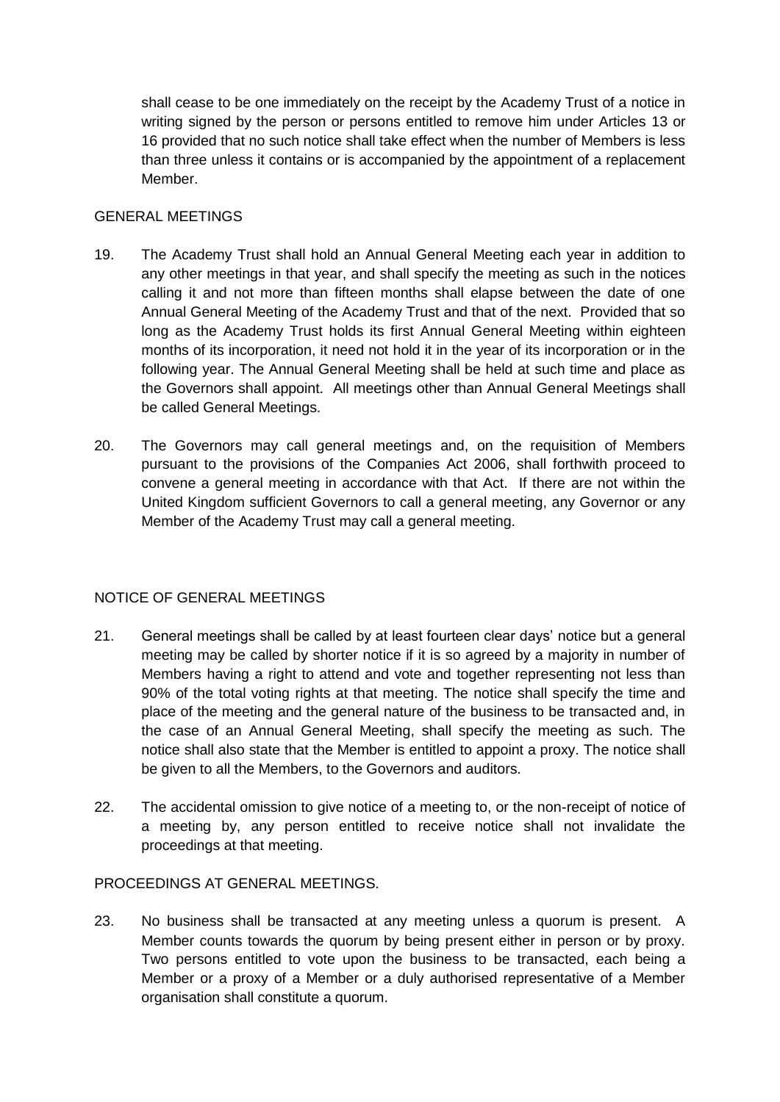shall cease to be one immediately on the receipt by the Academy Trust of a notice in writing signed by the person or persons entitled to remove him under Articles [13](#page-10-2) or [16](#page-11-0) provided that no such notice shall take effect when the number of Members is less than three unless it contains or is accompanied by the appointment of a replacement Member.

## GENERAL MEETINGS

- 19. The Academy Trust shall hold an Annual General Meeting each year in addition to any other meetings in that year, and shall specify the meeting as such in the notices calling it and not more than fifteen months shall elapse between the date of one Annual General Meeting of the Academy Trust and that of the next. Provided that so long as the Academy Trust holds its first Annual General Meeting within eighteen months of its incorporation, it need not hold it in the year of its incorporation or in the following year. The Annual General Meeting shall be held at such time and place as the Governors shall appoint. All meetings other than Annual General Meetings shall be called General Meetings.
- 20. The Governors may call general meetings and, on the requisition of Members pursuant to the provisions of the Companies Act 2006, shall forthwith proceed to convene a general meeting in accordance with that Act. If there are not within the United Kingdom sufficient Governors to call a general meeting, any Governor or any Member of the Academy Trust may call a general meeting.

### NOTICE OF GENERAL MEETINGS

- 21. General meetings shall be called by at least fourteen clear days' notice but a general meeting may be called by shorter notice if it is so agreed by a majority in number of Members having a right to attend and vote and together representing not less than 90% of the total voting rights at that meeting. The notice shall specify the time and place of the meeting and the general nature of the business to be transacted and, in the case of an Annual General Meeting, shall specify the meeting as such. The notice shall also state that the Member is entitled to appoint a proxy. The notice shall be given to all the Members, to the Governors and auditors.
- 22. The accidental omission to give notice of a meeting to, or the non-receipt of notice of a meeting by, any person entitled to receive notice shall not invalidate the proceedings at that meeting.

### PROCEEDINGS AT GENERAL MEETINGS.

23. No business shall be transacted at any meeting unless a quorum is present. A Member counts towards the quorum by being present either in person or by proxy. Two persons entitled to vote upon the business to be transacted, each being a Member or a proxy of a Member or a duly authorised representative of a Member organisation shall constitute a quorum.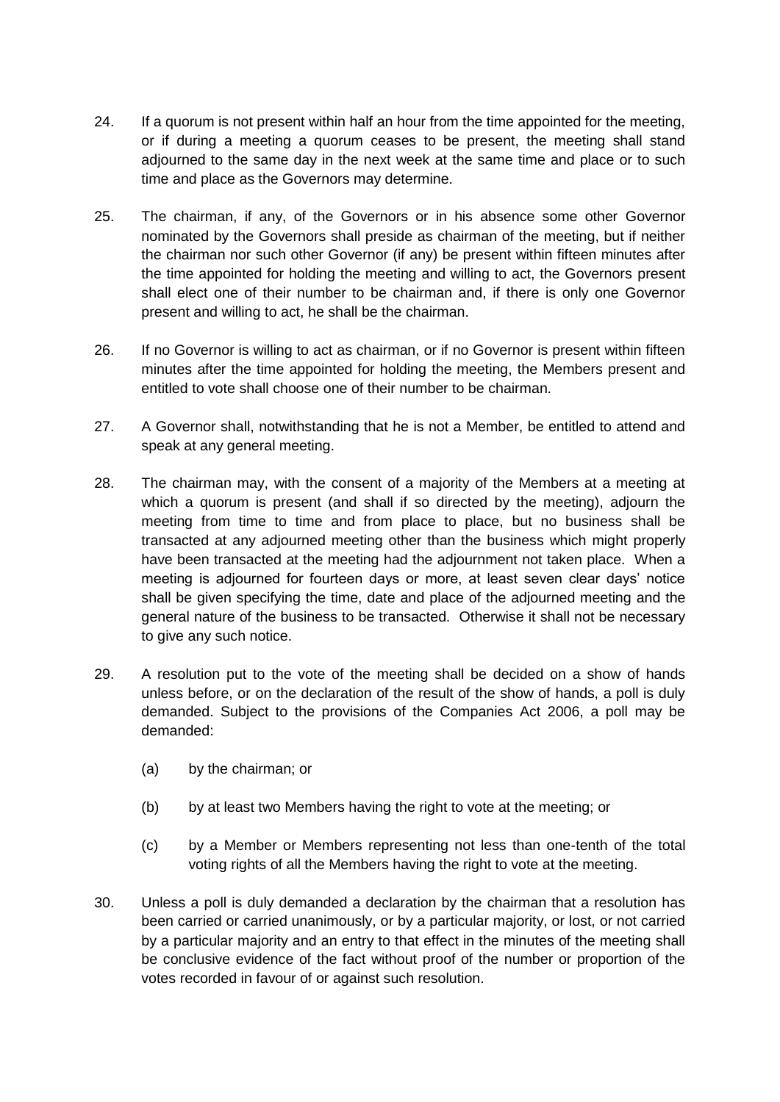- 24. If a quorum is not present within half an hour from the time appointed for the meeting, or if during a meeting a quorum ceases to be present, the meeting shall stand adjourned to the same day in the next week at the same time and place or to such time and place as the Governors may determine.
- 25. The chairman, if any, of the Governors or in his absence some other Governor nominated by the Governors shall preside as chairman of the meeting, but if neither the chairman nor such other Governor (if any) be present within fifteen minutes after the time appointed for holding the meeting and willing to act, the Governors present shall elect one of their number to be chairman and, if there is only one Governor present and willing to act, he shall be the chairman.
- 26. If no Governor is willing to act as chairman, or if no Governor is present within fifteen minutes after the time appointed for holding the meeting, the Members present and entitled to vote shall choose one of their number to be chairman.
- 27. A Governor shall, notwithstanding that he is not a Member, be entitled to attend and speak at any general meeting.
- 28. The chairman may, with the consent of a majority of the Members at a meeting at which a quorum is present (and shall if so directed by the meeting), adjourn the meeting from time to time and from place to place, but no business shall be transacted at any adjourned meeting other than the business which might properly have been transacted at the meeting had the adjournment not taken place. When a meeting is adjourned for fourteen days or more, at least seven clear days' notice shall be given specifying the time, date and place of the adjourned meeting and the general nature of the business to be transacted. Otherwise it shall not be necessary to give any such notice.
- 29. A resolution put to the vote of the meeting shall be decided on a show of hands unless before, or on the declaration of the result of the show of hands, a poll is duly demanded. Subject to the provisions of the Companies Act 2006, a poll may be demanded:
	- (a) by the chairman; or
	- (b) by at least two Members having the right to vote at the meeting; or
	- (c) by a Member or Members representing not less than one-tenth of the total voting rights of all the Members having the right to vote at the meeting.
- 30. Unless a poll is duly demanded a declaration by the chairman that a resolution has been carried or carried unanimously, or by a particular majority, or lost, or not carried by a particular majority and an entry to that effect in the minutes of the meeting shall be conclusive evidence of the fact without proof of the number or proportion of the votes recorded in favour of or against such resolution.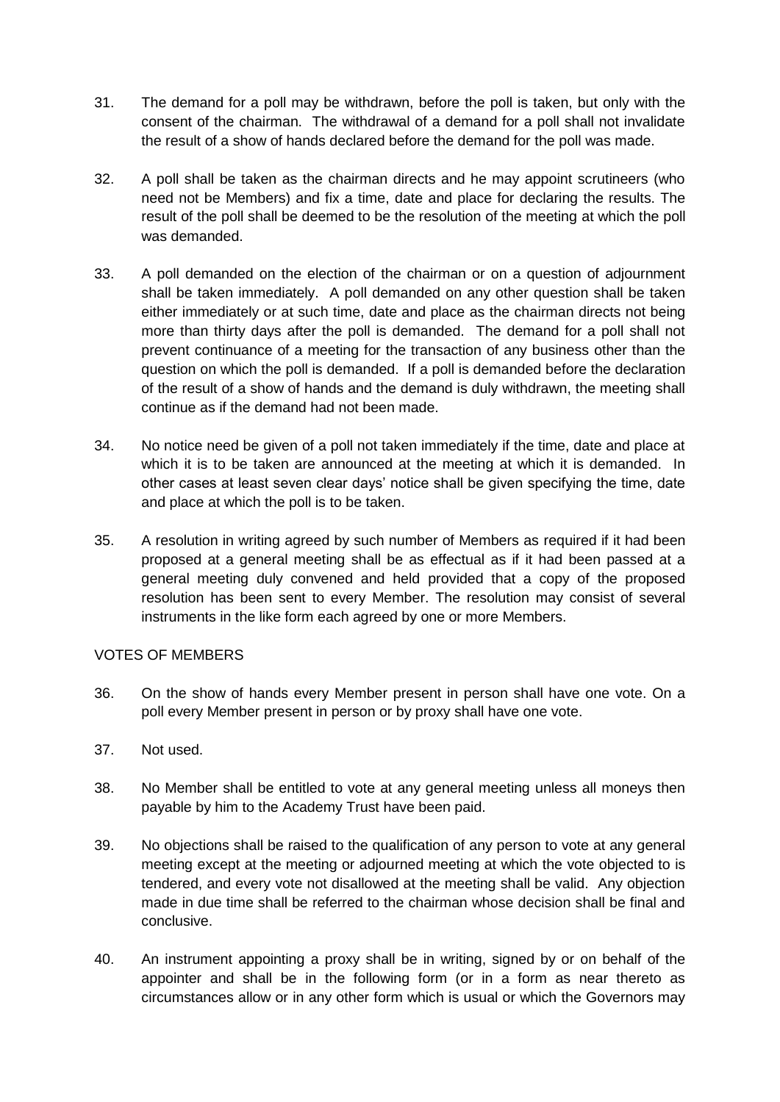- 31. The demand for a poll may be withdrawn, before the poll is taken, but only with the consent of the chairman. The withdrawal of a demand for a poll shall not invalidate the result of a show of hands declared before the demand for the poll was made.
- 32. A poll shall be taken as the chairman directs and he may appoint scrutineers (who need not be Members) and fix a time, date and place for declaring the results. The result of the poll shall be deemed to be the resolution of the meeting at which the poll was demanded.
- 33. A poll demanded on the election of the chairman or on a question of adjournment shall be taken immediately. A poll demanded on any other question shall be taken either immediately or at such time, date and place as the chairman directs not being more than thirty days after the poll is demanded. The demand for a poll shall not prevent continuance of a meeting for the transaction of any business other than the question on which the poll is demanded. If a poll is demanded before the declaration of the result of a show of hands and the demand is duly withdrawn, the meeting shall continue as if the demand had not been made.
- 34. No notice need be given of a poll not taken immediately if the time, date and place at which it is to be taken are announced at the meeting at which it is demanded. In other cases at least seven clear days' notice shall be given specifying the time, date and place at which the poll is to be taken.
- 35. A resolution in writing agreed by such number of Members as required if it had been proposed at a general meeting shall be as effectual as if it had been passed at a general meeting duly convened and held provided that a copy of the proposed resolution has been sent to every Member. The resolution may consist of several instruments in the like form each agreed by one or more Members.

### VOTES OF MEMBERS

- 36. On the show of hands every Member present in person shall have one vote. On a poll every Member present in person or by proxy shall have one vote.
- 37. Not used.
- 38. No Member shall be entitled to vote at any general meeting unless all moneys then payable by him to the Academy Trust have been paid.
- 39. No objections shall be raised to the qualification of any person to vote at any general meeting except at the meeting or adjourned meeting at which the vote objected to is tendered, and every vote not disallowed at the meeting shall be valid. Any objection made in due time shall be referred to the chairman whose decision shall be final and conclusive.
- 40. An instrument appointing a proxy shall be in writing, signed by or on behalf of the appointer and shall be in the following form (or in a form as near thereto as circumstances allow or in any other form which is usual or which the Governors may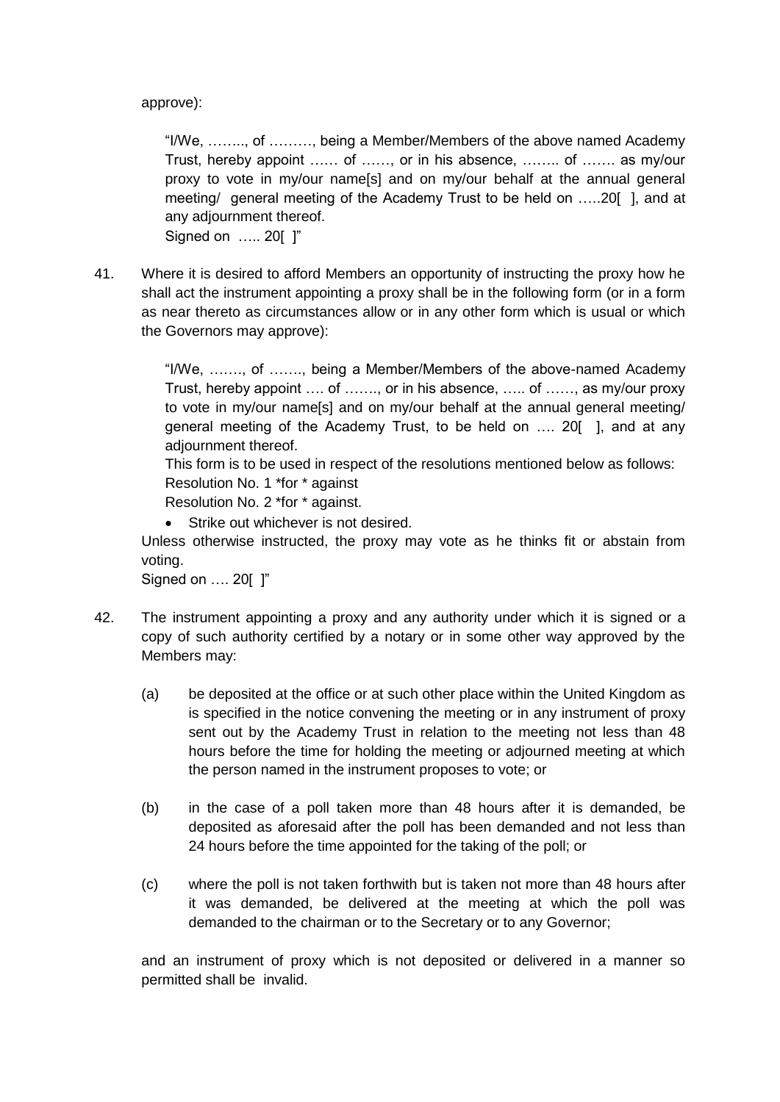### approve):

"I/We, …….., of ………, being a Member/Members of the above named Academy Trust, hereby appoint …… of ……, or in his absence, …….. of ……. as my/our proxy to vote in my/our name[s] and on my/our behalf at the annual general meeting/ general meeting of the Academy Trust to be held on …..20[ ], and at any adjournment thereof.

Signed on ….. 20[ ]"

41. Where it is desired to afford Members an opportunity of instructing the proxy how he shall act the instrument appointing a proxy shall be in the following form (or in a form as near thereto as circumstances allow or in any other form which is usual or which the Governors may approve):

> "I/We, ……., of ……., being a Member/Members of the above-named Academy Trust, hereby appoint …. of ……., or in his absence, ….. of ……, as my/our proxy to vote in my/our name[s] and on my/our behalf at the annual general meeting/ general meeting of the Academy Trust, to be held on …. 20[ ], and at any adiournment thereof.

This form is to be used in respect of the resolutions mentioned below as follows:

Resolution No. 1 \*for \* against

Resolution No. 2 \*for \* against.

• Strike out whichever is not desired.

Unless otherwise instructed, the proxy may vote as he thinks fit or abstain from voting.

Signed on …. 20[ ]"

- 42. The instrument appointing a proxy and any authority under which it is signed or a copy of such authority certified by a notary or in some other way approved by the Members may:
	- (a) be deposited at the office or at such other place within the United Kingdom as is specified in the notice convening the meeting or in any instrument of proxy sent out by the Academy Trust in relation to the meeting not less than 48 hours before the time for holding the meeting or adjourned meeting at which the person named in the instrument proposes to vote; or
	- (b) in the case of a poll taken more than 48 hours after it is demanded, be deposited as aforesaid after the poll has been demanded and not less than 24 hours before the time appointed for the taking of the poll; or
	- (c) where the poll is not taken forthwith but is taken not more than 48 hours after it was demanded, be delivered at the meeting at which the poll was demanded to the chairman or to the Secretary or to any Governor;

and an instrument of proxy which is not deposited or delivered in a manner so permitted shall be invalid.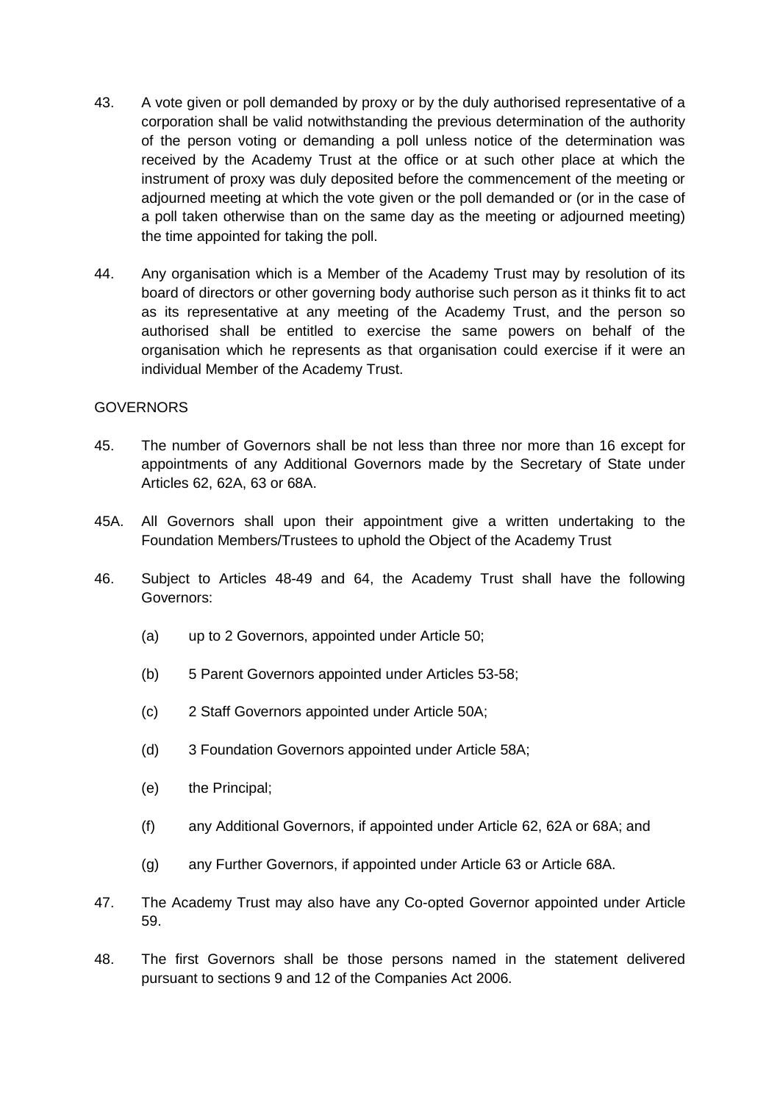- 43. A vote given or poll demanded by proxy or by the duly authorised representative of a corporation shall be valid notwithstanding the previous determination of the authority of the person voting or demanding a poll unless notice of the determination was received by the Academy Trust at the office or at such other place at which the instrument of proxy was duly deposited before the commencement of the meeting or adjourned meeting at which the vote given or the poll demanded or (or in the case of a poll taken otherwise than on the same day as the meeting or adjourned meeting) the time appointed for taking the poll.
- 44. Any organisation which is a Member of the Academy Trust may by resolution of its board of directors or other governing body authorise such person as it thinks fit to act as its representative at any meeting of the Academy Trust, and the person so authorised shall be entitled to exercise the same powers on behalf of the organisation which he represents as that organisation could exercise if it were an individual Member of the Academy Trust.

### GOVERNORS

- 45. The number of Governors shall be not less than three nor more than 16 except for appointments of any Additional Governors made by the Secretary of State under Articles 62, 62A, 63 or 68A.
- 45A. All Governors shall upon their appointment give a written undertaking to the Foundation Members/Trustees to uphold the Object of the Academy Trust
- <span id="page-16-0"></span>46. Subject to Articles [48-](#page-16-1)[49](#page-17-3) and [64,](#page-19-1) the Academy Trust shall have the following Governors:
	- (a) up to 2 Governors, appointed under Article [50;](#page-17-4)
	- (b) 5 Parent Governors appointed under Articles [53](#page-17-0)[-58;](#page-17-1)
	- (c) 2 Staff Governors appointed under Article 50A;
	- (d) 3 Foundation Governors appointed under Article [58A](#page-17-1);
	- (e) the Principal;
	- (f) any Additional Governors, if appointed under Article [62, 62A](#page-18-0) or [68A](#page-19-2); and
	- (g) any Further Governors, if appointed under Article [63](#page-19-0) or Article [68A](#page-19-2).
- 47. The Academy Trust may also have any Co-opted Governor appointed under Article 59.
- <span id="page-16-1"></span>48. The first Governors shall be those persons named in the statement delivered pursuant to sections 9 and 12 of the Companies Act 2006.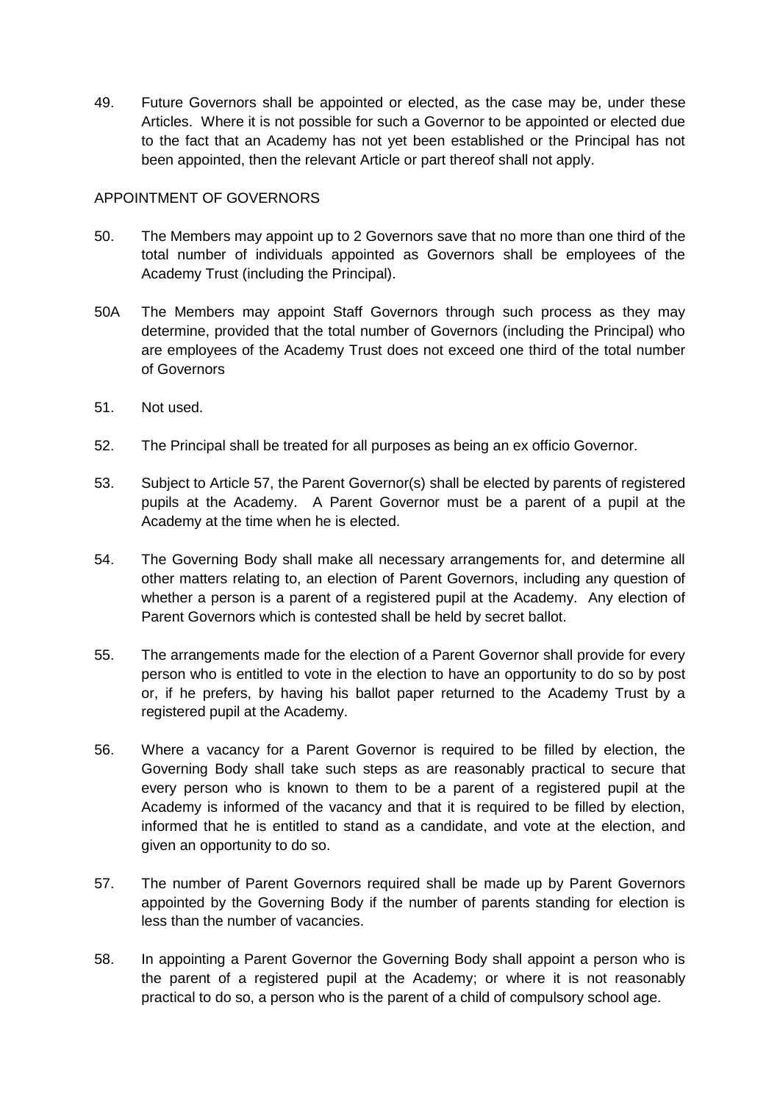<span id="page-17-3"></span>49. Future Governors shall be appointed or elected, as the case may be, under these Articles. Where it is not possible for such a Governor to be appointed or elected due to the fact that an Academy has not yet been established or the Principal has not been appointed, then the relevant Article or part thereof shall not apply.

# APPOINTMENT OF GOVERNORS

- <span id="page-17-4"></span>50. The Members may appoint up to 2 Governors save that no more than one third of the total number of individuals appointed as Governors shall be employees of the Academy Trust (including the Principal).
- 50A The Members may appoint Staff Governors through such process as they may determine, provided that the total number of Governors (including the Principal) who are employees of the Academy Trust does not exceed one third of the total number of Governors
- 51. Not used.
- <span id="page-17-2"></span>52. The Principal shall be treated for all purposes as being an ex officio Governor.
- <span id="page-17-0"></span>53. Subject to Article [57,](#page-17-5) the Parent Governor(s) shall be elected by parents of registered pupils at the Academy. A Parent Governor must be a parent of a pupil at the Academy at the time when he is elected.
- 54. The Governing Body shall make all necessary arrangements for, and determine all other matters relating to, an election of Parent Governors, including any question of whether a person is a parent of a registered pupil at the Academy. Any election of Parent Governors which is contested shall be held by secret ballot.
- 55. The arrangements made for the election of a Parent Governor shall provide for every person who is entitled to vote in the election to have an opportunity to do so by post or, if he prefers, by having his ballot paper returned to the Academy Trust by a registered pupil at the Academy.
- 56. Where a vacancy for a Parent Governor is required to be filled by election, the Governing Body shall take such steps as are reasonably practical to secure that every person who is known to them to be a parent of a registered pupil at the Academy is informed of the vacancy and that it is required to be filled by election, informed that he is entitled to stand as a candidate, and vote at the election, and given an opportunity to do so.
- <span id="page-17-5"></span>57. The number of Parent Governors required shall be made up by Parent Governors appointed by the Governing Body if the number of parents standing for election is less than the number of vacancies.
- <span id="page-17-1"></span>58. In appointing a Parent Governor the Governing Body shall appoint a person who is the parent of a registered pupil at the Academy; or where it is not reasonably practical to do so, a person who is the parent of a child of compulsory school age.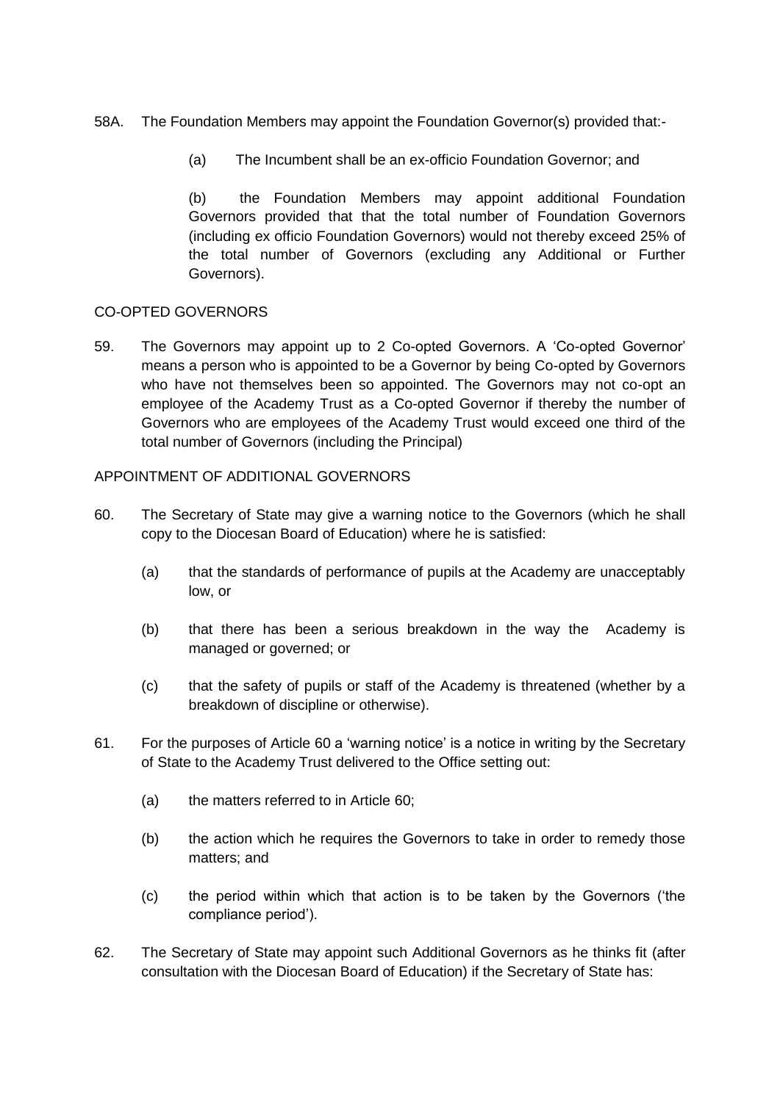# [58A](#page-17-1). The Foundation Members may appoint the Foundation Governor(s) provided that:-

(a) The Incumbent shall be an ex-officio Foundation Governor; and

(b) the Foundation Members may appoint additional Foundation Governors provided that that the total number of Foundation Governors (including ex officio Foundation Governors) would not thereby exceed 25% of the total number of Governors (excluding any Additional or Further Governors).

# CO-OPTED GOVERNORS

59. The Governors may appoint up to 2 Co-opted Governors. A 'Co-opted Governor' means a person who is appointed to be a Governor by being Co-opted by Governors who have not themselves been so appointed. The Governors may not co-opt an employee of the Academy Trust as a Co-opted Governor if thereby the number of Governors who are employees of the Academy Trust would exceed one third of the total number of Governors (including the Principal)

### APPOINTMENT OF ADDITIONAL GOVERNORS

- <span id="page-18-1"></span>60. The Secretary of State may give a warning notice to the Governors (which he shall copy to the Diocesan Board of Education) where he is satisfied:
	- (a) that the standards of performance of pupils at the Academy are unacceptably low, or
	- (b) that there has been a serious breakdown in the way the Academy is managed or governed; or
	- (c) that the safety of pupils or staff of the Academy is threatened (whether by a breakdown of discipline or otherwise).
- 61. For the purposes of Article [60](#page-18-1) a 'warning notice' is a notice in writing by the Secretary of State to the Academy Trust delivered to the Office setting out:
	- (a) the matters referred to in Article [60;](#page-18-1)
	- (b) the action which he requires the Governors to take in order to remedy those matters; and
	- (c) the period within which that action is to be taken by the Governors ('the compliance period').
- <span id="page-18-0"></span>62. The Secretary of State may appoint such Additional Governors as he thinks fit (after consultation with the Diocesan Board of Education) if the Secretary of State has: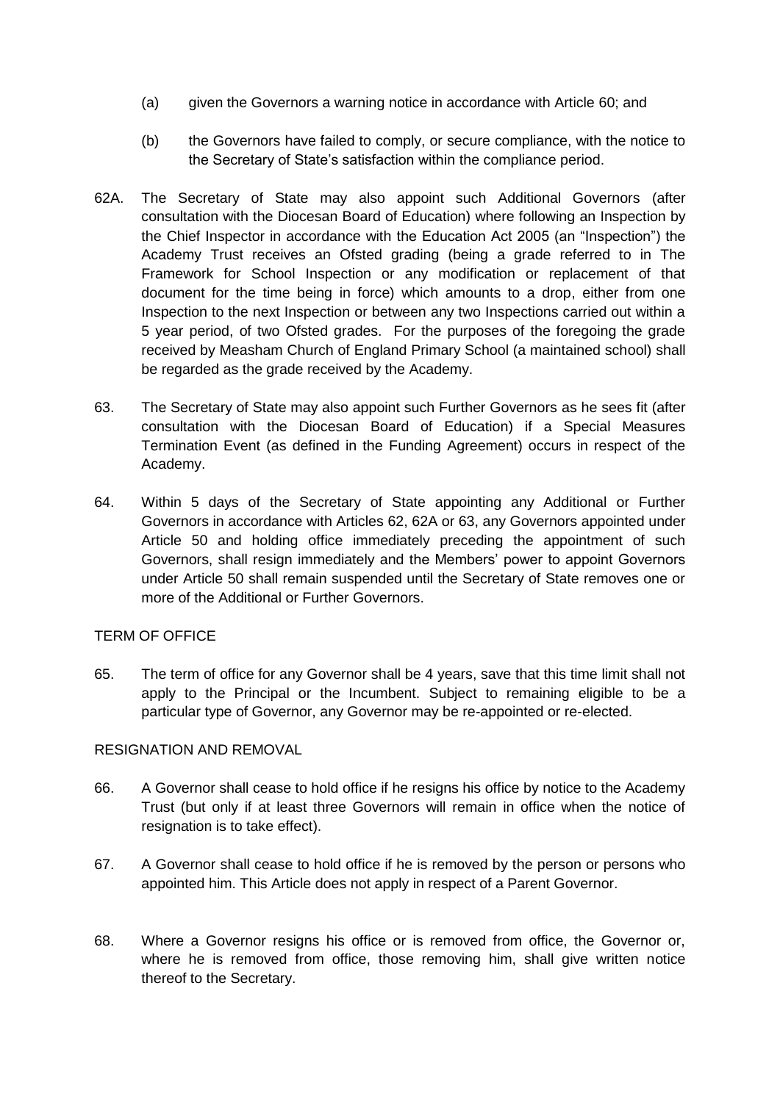- (a) given the Governors a warning notice in accordance with Article [60;](#page-18-1) and
- (b) the Governors have failed to comply, or secure compliance, with the notice to the Secretary of State's satisfaction within the compliance period.
- [62A](#page-18-0). The Secretary of State may also appoint such Additional Governors (after consultation with the Diocesan Board of Education) where following an Inspection by the Chief Inspector in accordance with the Education Act 2005 (an "Inspection") the Academy Trust receives an Ofsted grading (being a grade referred to in The Framework for School Inspection or any modification or replacement of that document for the time being in force) which amounts to a drop, either from one Inspection to the next Inspection or between any two Inspections carried out within a 5 year period, of two Ofsted grades. For the purposes of the foregoing the grade received by Measham Church of England Primary School (a maintained school) shall be regarded as the grade received by the Academy.
- <span id="page-19-0"></span>63. The Secretary of State may also appoint such Further Governors as he sees fit (after consultation with the Diocesan Board of Education) if a Special Measures Termination Event (as defined in the Funding Agreement) occurs in respect of the Academy.
- <span id="page-19-1"></span>64. Within 5 days of the Secretary of State appointing any Additional or Further Governors in accordance with Articles [62, 62A](#page-18-0) or [63,](#page-19-0) any Governors appointed under Article [50](#page-17-4) and holding office immediately preceding the appointment of such Governors, shall resign immediately and the Members' power to appoint Governors under Article [50](#page-17-4) shall remain suspended until the Secretary of State removes one or more of the Additional or Further Governors.

### TERM OF OFFICE

65. The term of office for any Governor shall be 4 years, save that this time limit shall not apply to the Principal or the Incumbent. Subject to remaining eligible to be a particular type of Governor, any Governor may be re-appointed or re-elected.

### RESIGNATION AND REMOVAL

- 66. A Governor shall cease to hold office if he resigns his office by notice to the Academy Trust (but only if at least three Governors will remain in office when the notice of resignation is to take effect).
- <span id="page-19-3"></span>67. A Governor shall cease to hold office if he is removed by the person or persons who appointed him. This Article does not apply in respect of a Parent Governor.
- <span id="page-19-2"></span>68. Where a Governor resigns his office or is removed from office, the Governor or, where he is removed from office, those removing him, shall give written notice thereof to the Secretary.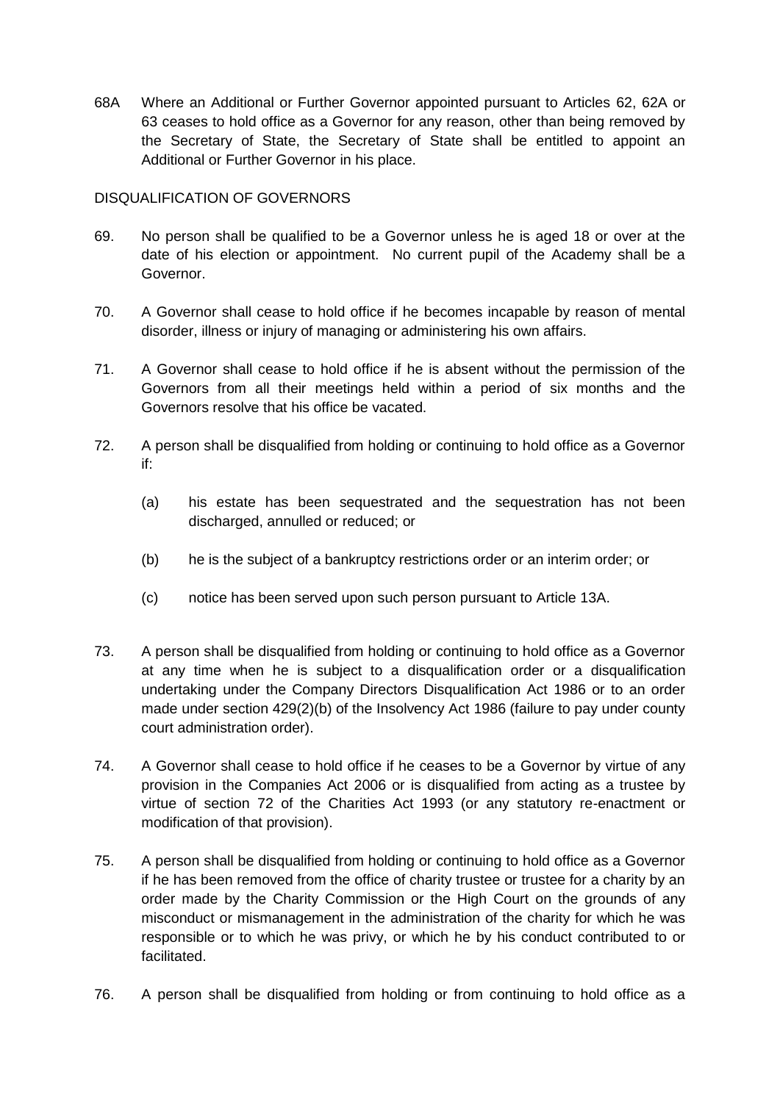[68A](#page-19-2) Where an Additional or Further Governor appointed pursuant to Articles [62, 62A](#page-18-0) or [63](#page-19-0) ceases to hold office as a Governor for any reason, other than being removed by the Secretary of State, the Secretary of State shall be entitled to appoint an Additional or Further Governor in his place.

# DISQUALIFICATION OF GOVERNORS

- <span id="page-20-0"></span>69. No person shall be qualified to be a Governor unless he is aged 18 or over at the date of his election or appointment. No current pupil of the Academy shall be a Governor.
- 70. A Governor shall cease to hold office if he becomes incapable by reason of mental disorder, illness or injury of managing or administering his own affairs.
- 71. A Governor shall cease to hold office if he is absent without the permission of the Governors from all their meetings held within a period of six months and the Governors resolve that his office be vacated.
- 72. A person shall be disqualified from holding or continuing to hold office as a Governor if:
	- (a) his estate has been sequestrated and the sequestration has not been discharged, annulled or reduced; or
	- (b) he is the subject of a bankruptcy restrictions order or an interim order; or
	- (c) notice has been served upon such person pursuant to Article 13A.
- 73. A person shall be disqualified from holding or continuing to hold office as a Governor at any time when he is subject to a disqualification order or a disqualification undertaking under the Company Directors Disqualification Act 1986 or to an order made under section 429(2)(b) of the Insolvency Act 1986 (failure to pay under county court administration order).
- 74. A Governor shall cease to hold office if he ceases to be a Governor by virtue of any provision in the Companies Act 2006 or is disqualified from acting as a trustee by virtue of section 72 of the Charities Act 1993 (or any statutory re-enactment or modification of that provision).
- 75. A person shall be disqualified from holding or continuing to hold office as a Governor if he has been removed from the office of charity trustee or trustee for a charity by an order made by the Charity Commission or the High Court on the grounds of any misconduct or mismanagement in the administration of the charity for which he was responsible or to which he was privy, or which he by his conduct contributed to or facilitated.
- 76. A person shall be disqualified from holding or from continuing to hold office as a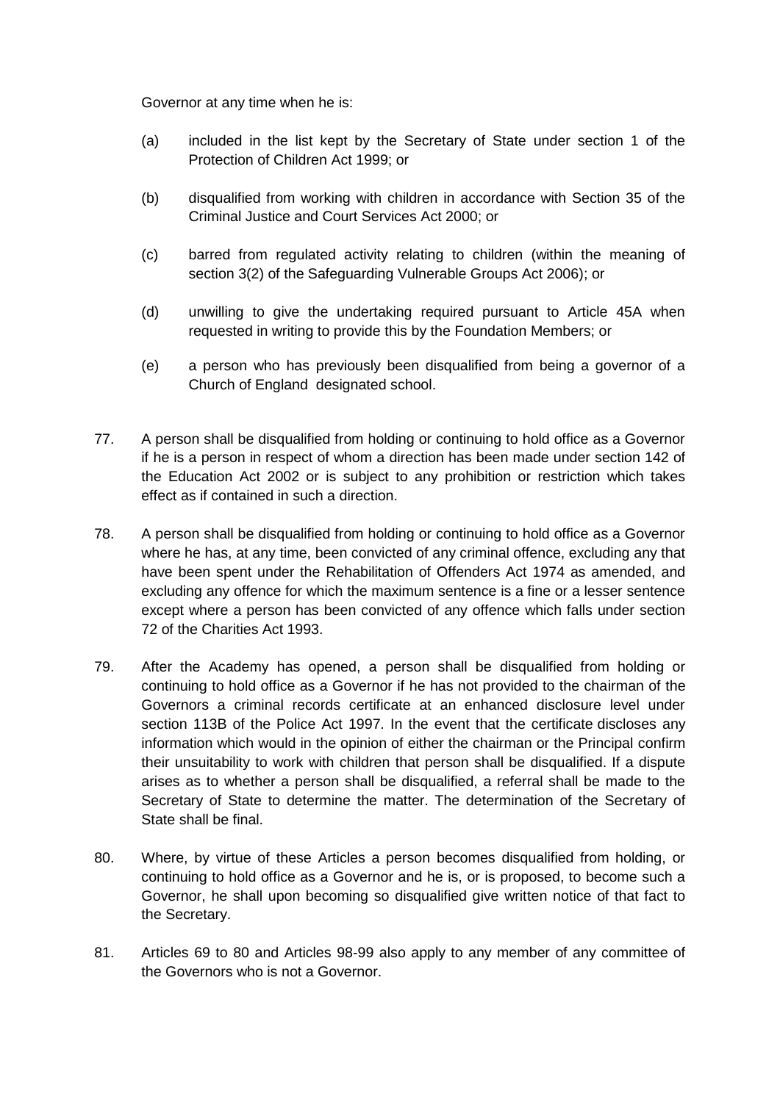Governor at any time when he is:

- (a) included in the list kept by the Secretary of State under section 1 of the Protection of Children Act 1999; or
- (b) disqualified from working with children in accordance with Section 35 of the Criminal Justice and Court Services Act 2000; or
- (c) barred from regulated activity relating to children (within the meaning of section 3(2) of the Safeguarding Vulnerable Groups Act 2006); or
- (d) unwilling to give the undertaking required pursuant to Article 45A when requested in writing to provide this by the Foundation Members; or
- (e) a person who has previously been disqualified from being a governor of a Church of England designated school.
- 77. A person shall be disqualified from holding or continuing to hold office as a Governor if he is a person in respect of whom a direction has been made under section 142 of the Education Act 2002 or is subject to any prohibition or restriction which takes effect as if contained in such a direction.
- 78. A person shall be disqualified from holding or continuing to hold office as a Governor where he has, at any time, been convicted of any criminal offence, excluding any that have been spent under the Rehabilitation of Offenders Act 1974 as amended, and excluding any offence for which the maximum sentence is a fine or a lesser sentence except where a person has been convicted of any offence which falls under section 72 of the Charities Act 1993.
- 79. After the Academy has opened, a person shall be disqualified from holding or continuing to hold office as a Governor if he has not provided to the chairman of the Governors a criminal records certificate at an enhanced disclosure level under section 113B of the Police Act 1997. In the event that the certificate discloses any information which would in the opinion of either the chairman or the Principal confirm their unsuitability to work with children that person shall be disqualified. If a dispute arises as to whether a person shall be disqualified, a referral shall be made to the Secretary of State to determine the matter. The determination of the Secretary of State shall be final.
- <span id="page-21-0"></span>80. Where, by virtue of these Articles a person becomes disqualified from holding, or continuing to hold office as a Governor and he is, or is proposed, to become such a Governor, he shall upon becoming so disqualified give written notice of that fact to the Secretary.
- 81. Articles [69](#page-20-0) to [80](#page-21-0) and Articles [98-](#page-24-0)[99](#page-24-1) also apply to any member of any committee of the Governors who is not a Governor.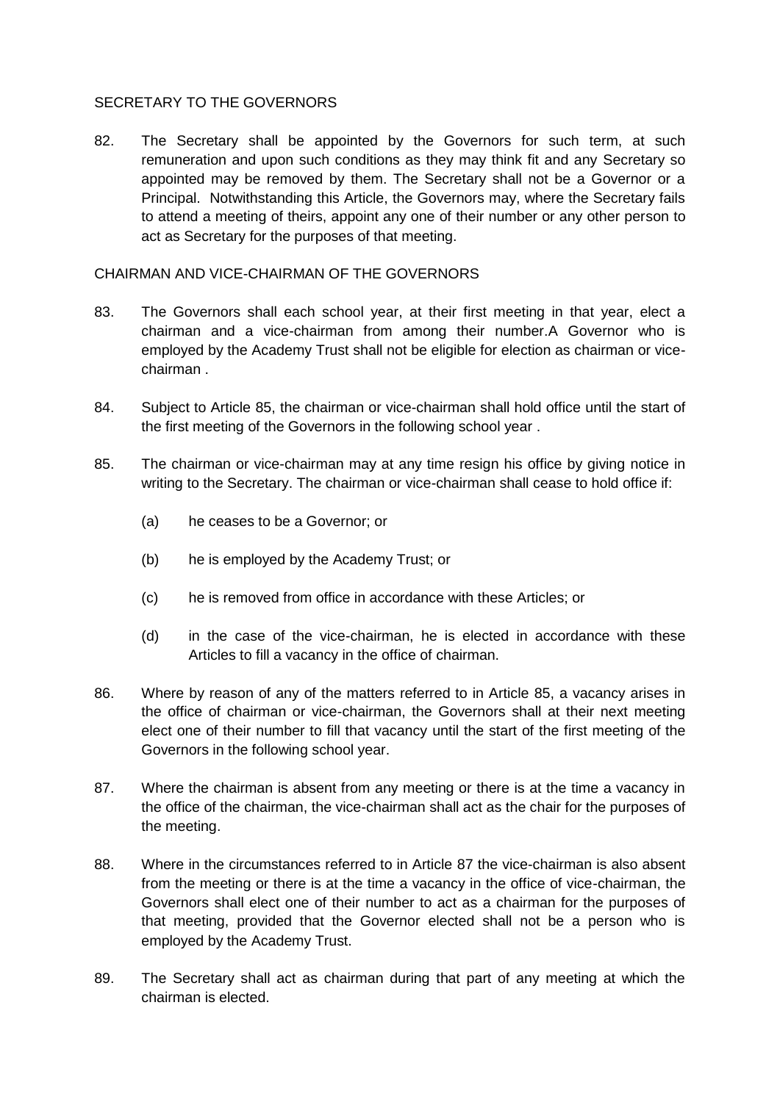### SECRETARY TO THE GOVERNORS

82. The Secretary shall be appointed by the Governors for such term, at such remuneration and upon such conditions as they may think fit and any Secretary so appointed may be removed by them. The Secretary shall not be a Governor or a Principal. Notwithstanding this Article, the Governors may, where the Secretary fails to attend a meeting of theirs, appoint any one of their number or any other person to act as Secretary for the purposes of that meeting.

## CHAIRMAN AND VICE-CHAIRMAN OF THE GOVERNORS

- 83. The Governors shall each school year, at their first meeting in that year, elect a chairman and a vice-chairman from among their number.A Governor who is employed by the Academy Trust shall not be eligible for election as chairman or vicechairman .
- 84. Subject to Article [85,](#page-22-0) the chairman or vice-chairman shall hold office until the start of the first meeting of the Governors in the following school year .
- <span id="page-22-0"></span>85. The chairman or vice-chairman may at any time resign his office by giving notice in writing to the Secretary. The chairman or vice-chairman shall cease to hold office if:
	- (a) he ceases to be a Governor; or
	- (b) he is employed by the Academy Trust; or
	- (c) he is removed from office in accordance with these Articles; or
	- (d) in the case of the vice-chairman, he is elected in accordance with these Articles to fill a vacancy in the office of chairman.
- 86. Where by reason of any of the matters referred to in Article [85,](#page-22-0) a vacancy arises in the office of chairman or vice-chairman, the Governors shall at their next meeting elect one of their number to fill that vacancy until the start of the first meeting of the Governors in the following school year.
- <span id="page-22-1"></span>87. Where the chairman is absent from any meeting or there is at the time a vacancy in the office of the chairman, the vice-chairman shall act as the chair for the purposes of the meeting.
- 88. Where in the circumstances referred to in Article [87](#page-22-1) the vice-chairman is also absent from the meeting or there is at the time a vacancy in the office of vice-chairman, the Governors shall elect one of their number to act as a chairman for the purposes of that meeting, provided that the Governor elected shall not be a person who is employed by the Academy Trust.
- 89. The Secretary shall act as chairman during that part of any meeting at which the chairman is elected.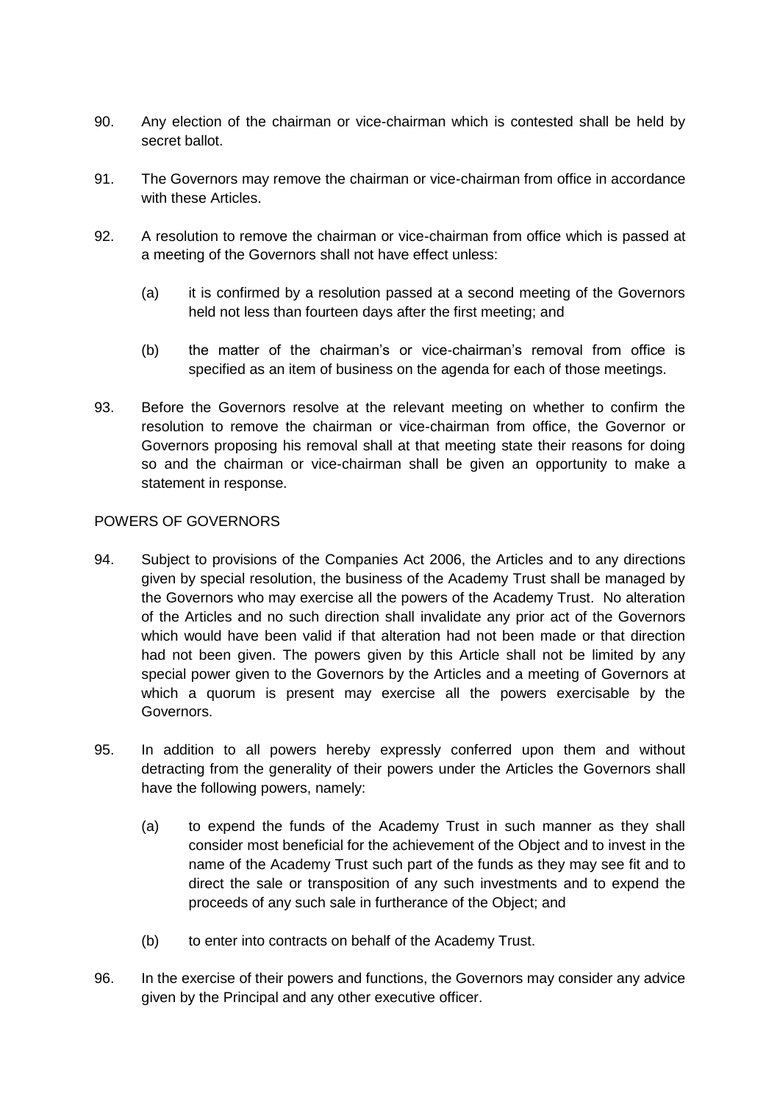- 90. Any election of the chairman or vice-chairman which is contested shall be held by secret ballot.
- <span id="page-23-0"></span>91. The Governors may remove the chairman or vice-chairman from office in accordance with these Articles.
- 92. A resolution to remove the chairman or vice-chairman from office which is passed at a meeting of the Governors shall not have effect unless:
	- (a) it is confirmed by a resolution passed at a second meeting of the Governors held not less than fourteen days after the first meeting; and
	- (b) the matter of the chairman's or vice-chairman's removal from office is specified as an item of business on the agenda for each of those meetings.
- 93. Before the Governors resolve at the relevant meeting on whether to confirm the resolution to remove the chairman or vice-chairman from office, the Governor or Governors proposing his removal shall at that meeting state their reasons for doing so and the chairman or vice-chairman shall be given an opportunity to make a statement in response.

### POWERS OF GOVERNORS

- 94. Subject to provisions of the Companies Act 2006, the Articles and to any directions given by special resolution, the business of the Academy Trust shall be managed by the Governors who may exercise all the powers of the Academy Trust. No alteration of the Articles and no such direction shall invalidate any prior act of the Governors which would have been valid if that alteration had not been made or that direction had not been given. The powers given by this Article shall not be limited by any special power given to the Governors by the Articles and a meeting of Governors at which a quorum is present may exercise all the powers exercisable by the Governors.
- 95. In addition to all powers hereby expressly conferred upon them and without detracting from the generality of their powers under the Articles the Governors shall have the following powers, namely:
	- (a) to expend the funds of the Academy Trust in such manner as they shall consider most beneficial for the achievement of the Object and to invest in the name of the Academy Trust such part of the funds as they may see fit and to direct the sale or transposition of any such investments and to expend the proceeds of any such sale in furtherance of the Object; and
	- (b) to enter into contracts on behalf of the Academy Trust.
- 96. In the exercise of their powers and functions, the Governors may consider any advice given by the Principal and any other executive officer.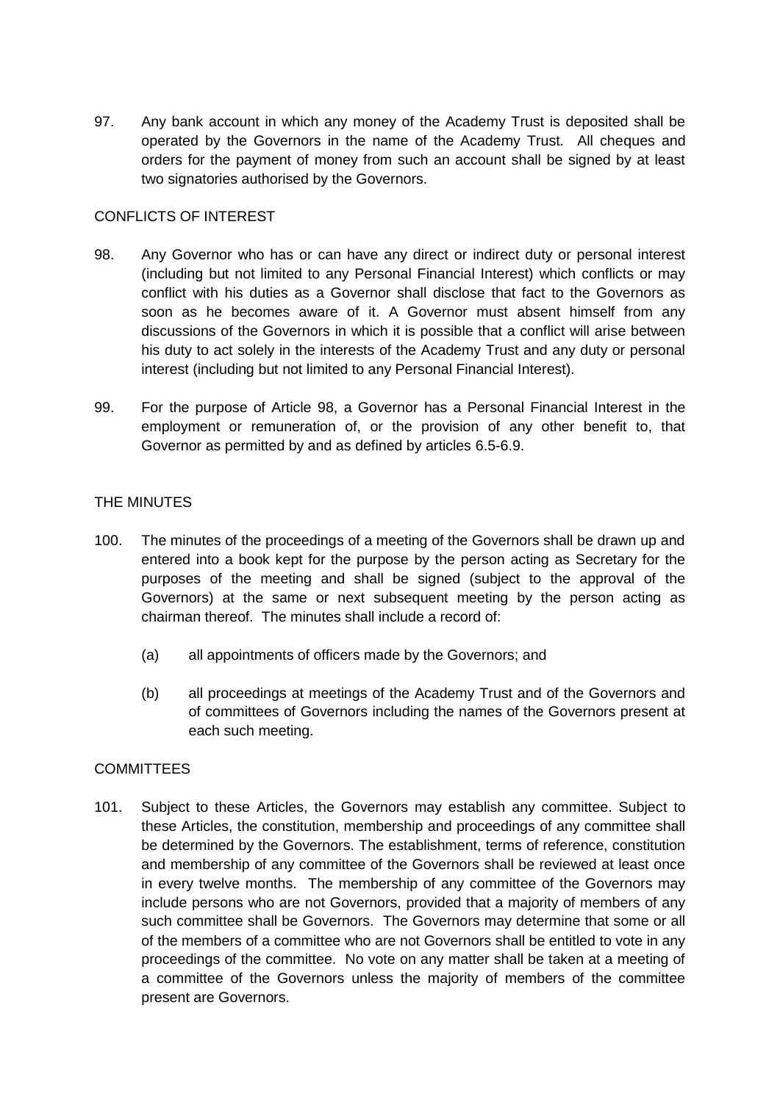97. Any bank account in which any money of the Academy Trust is deposited shall be operated by the Governors in the name of the Academy Trust. All cheques and orders for the payment of money from such an account shall be signed by at least two signatories authorised by the Governors.

# CONFLICTS OF INTEREST

- <span id="page-24-0"></span>98. Any Governor who has or can have any direct or indirect duty or personal interest (including but not limited to any Personal Financial Interest) which conflicts or may conflict with his duties as a Governor shall disclose that fact to the Governors as soon as he becomes aware of it. A Governor must absent himself from any discussions of the Governors in which it is possible that a conflict will arise between his duty to act solely in the interests of the Academy Trust and any duty or personal interest (including but not limited to any Personal Financial Interest).
- <span id="page-24-1"></span>99. For the purpose of Article [98,](#page-24-0) a Governor has a Personal Financial Interest in the employment or remuneration of, or the provision of any other benefit to, that Governor as permitted by and as defined by articles [6.5-](#page-7-2)[6.9.](#page-9-0)

# THE MINUTES

- 100. The minutes of the proceedings of a meeting of the Governors shall be drawn up and entered into a book kept for the purpose by the person acting as Secretary for the purposes of the meeting and shall be signed (subject to the approval of the Governors) at the same or next subsequent meeting by the person acting as chairman thereof. The minutes shall include a record of:
	- (a) all appointments of officers made by the Governors; and
	- (b) all proceedings at meetings of the Academy Trust and of the Governors and of committees of Governors including the names of the Governors present at each such meeting.

### **COMMITTEES**

101. Subject to these Articles, the Governors may establish any committee. Subject to these Articles, the constitution, membership and proceedings of any committee shall be determined by the Governors. The establishment, terms of reference, constitution and membership of any committee of the Governors shall be reviewed at least once in every twelve months. The membership of any committee of the Governors may include persons who are not Governors, provided that a majority of members of any such committee shall be Governors. The Governors may determine that some or all of the members of a committee who are not Governors shall be entitled to vote in any proceedings of the committee. No vote on any matter shall be taken at a meeting of a committee of the Governors unless the majority of members of the committee present are Governors.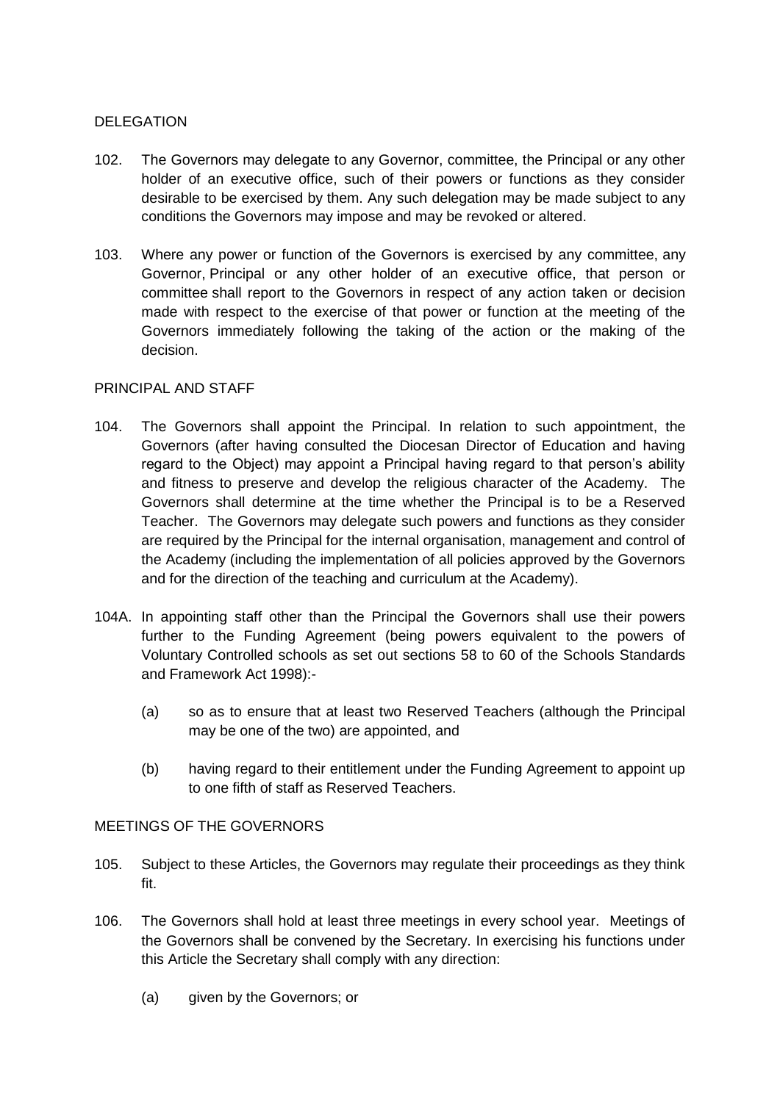# DELEGATION

- 102. The Governors may delegate to any Governor, committee, the Principal or any other holder of an executive office, such of their powers or functions as they consider desirable to be exercised by them. Any such delegation may be made subject to any conditions the Governors may impose and may be revoked or altered.
- 103. Where any power or function of the Governors is exercised by any committee, any Governor, Principal or any other holder of an executive office, that person or committee shall report to the Governors in respect of any action taken or decision made with respect to the exercise of that power or function at the meeting of the Governors immediately following the taking of the action or the making of the decision.

### PRINCIPAL AND STAFF

- 104. The Governors shall appoint the Principal. In relation to such appointment, the Governors (after having consulted the Diocesan Director of Education and having regard to the Object) may appoint a Principal having regard to that person's ability and fitness to preserve and develop the religious character of the Academy. The Governors shall determine at the time whether the Principal is to be a Reserved Teacher. The Governors may delegate such powers and functions as they consider are required by the Principal for the internal organisation, management and control of the Academy (including the implementation of all policies approved by the Governors and for the direction of the teaching and curriculum at the Academy).
- 104A. In appointing staff other than the Principal the Governors shall use their powers further to the Funding Agreement (being powers equivalent to the powers of Voluntary Controlled schools as set out sections 58 to 60 of the Schools Standards and Framework Act 1998):-
	- (a) so as to ensure that at least two Reserved Teachers (although the Principal may be one of the two) are appointed, and
	- (b) having regard to their entitlement under the Funding Agreement to appoint up to one fifth of staff as Reserved Teachers.

### MEETINGS OF THE GOVERNORS

- 105. Subject to these Articles, the Governors may regulate their proceedings as they think fit.
- <span id="page-25-0"></span>106. The Governors shall hold at least three meetings in every school year. Meetings of the Governors shall be convened by the Secretary. In exercising his functions under this Article the Secretary shall comply with any direction:
	- (a) given by the Governors; or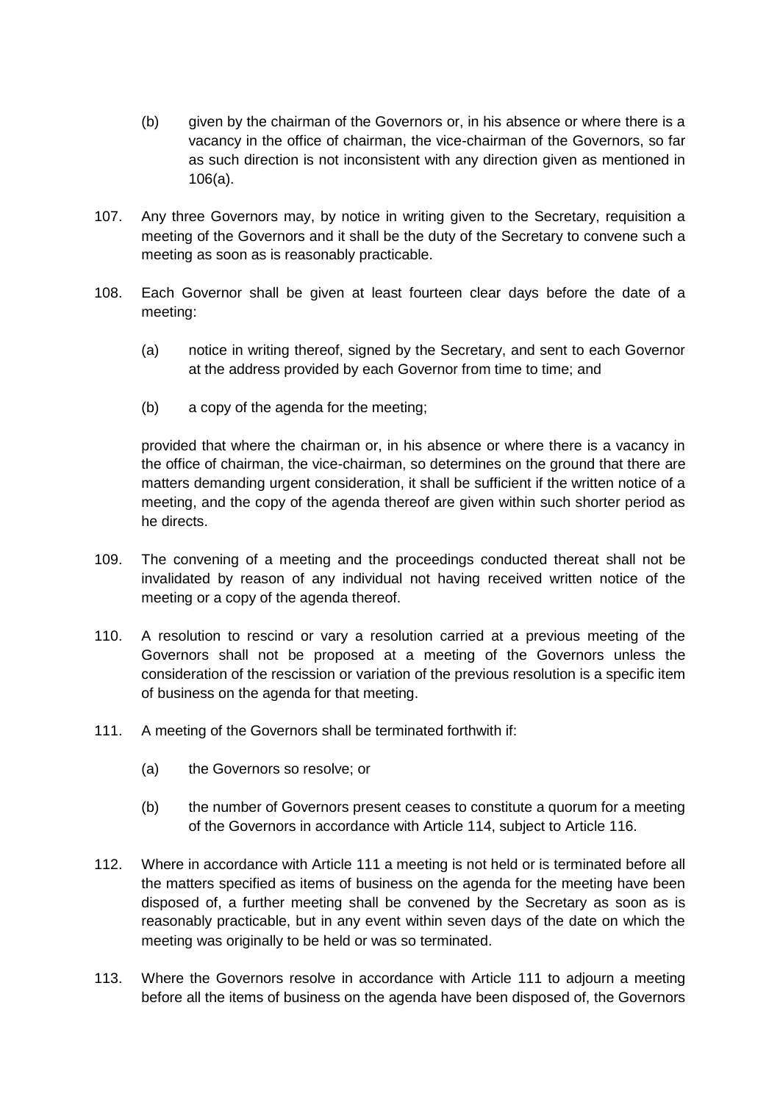- (b) given by the chairman of the Governors or, in his absence or where there is a vacancy in the office of chairman, the vice-chairman of the Governors, so far as such direction is not inconsistent with any direction given as mentioned in [106\(a\).](#page-25-0)
- 107. Any three Governors may, by notice in writing given to the Secretary, requisition a meeting of the Governors and it shall be the duty of the Secretary to convene such a meeting as soon as is reasonably practicable.
- 108. Each Governor shall be given at least fourteen clear days before the date of a meeting:
	- (a) notice in writing thereof, signed by the Secretary, and sent to each Governor at the address provided by each Governor from time to time; and
	- (b) a copy of the agenda for the meeting;

provided that where the chairman or, in his absence or where there is a vacancy in the office of chairman, the vice-chairman, so determines on the ground that there are matters demanding urgent consideration, it shall be sufficient if the written notice of a meeting, and the copy of the agenda thereof are given within such shorter period as he directs.

- 109. The convening of a meeting and the proceedings conducted thereat shall not be invalidated by reason of any individual not having received written notice of the meeting or a copy of the agenda thereof.
- 110. A resolution to rescind or vary a resolution carried at a previous meeting of the Governors shall not be proposed at a meeting of the Governors unless the consideration of the rescission or variation of the previous resolution is a specific item of business on the agenda for that meeting.
- <span id="page-26-0"></span>111. A meeting of the Governors shall be terminated forthwith if:
	- (a) the Governors so resolve; or
	- (b) the number of Governors present ceases to constitute a quorum for a meeting of the Governors in accordance with Article [114,](#page-27-0) subject to Article [116.](#page-27-1)
- 112. Where in accordance with Article [111](#page-26-0) a meeting is not held or is terminated before all the matters specified as items of business on the agenda for the meeting have been disposed of, a further meeting shall be convened by the Secretary as soon as is reasonably practicable, but in any event within seven days of the date on which the meeting was originally to be held or was so terminated.
- 113. Where the Governors resolve in accordance with Article [111](#page-26-0) to adjourn a meeting before all the items of business on the agenda have been disposed of, the Governors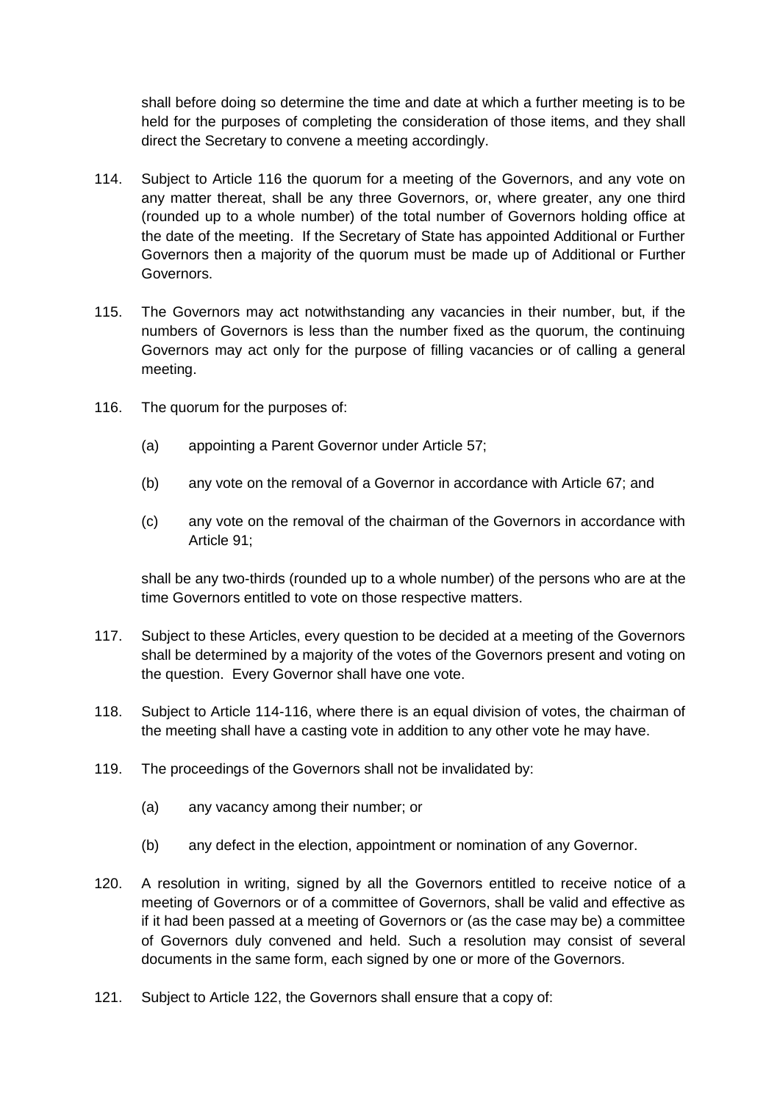shall before doing so determine the time and date at which a further meeting is to be held for the purposes of completing the consideration of those items, and they shall direct the Secretary to convene a meeting accordingly.

- <span id="page-27-0"></span>114. Subject to Article [116](#page-27-1) the quorum for a meeting of the Governors, and any vote on any matter thereat, shall be any three Governors, or, where greater, any one third (rounded up to a whole number) of the total number of Governors holding office at the date of the meeting. If the Secretary of State has appointed Additional or Further Governors then a majority of the quorum must be made up of Additional or Further Governors.
- 115. The Governors may act notwithstanding any vacancies in their number, but, if the numbers of Governors is less than the number fixed as the quorum, the continuing Governors may act only for the purpose of filling vacancies or of calling a general meeting.
- <span id="page-27-1"></span>116. The quorum for the purposes of:
	- (a) appointing a Parent Governor under Article [57;](#page-17-5)
	- (b) any vote on the removal of a Governor in accordance with Article [67;](#page-19-3) and
	- (c) any vote on the removal of the chairman of the Governors in accordance with Article [91;](#page-23-0)

shall be any two-thirds (rounded up to a whole number) of the persons who are at the time Governors entitled to vote on those respective matters.

- 117. Subject to these Articles, every question to be decided at a meeting of the Governors shall be determined by a majority of the votes of the Governors present and voting on the question. Every Governor shall have one vote.
- 118. Subject to Article [114](#page-27-0)[-116,](#page-27-1) where there is an equal division of votes, the chairman of the meeting shall have a casting vote in addition to any other vote he may have.
- 119. The proceedings of the Governors shall not be invalidated by:
	- (a) any vacancy among their number; or
	- (b) any defect in the election, appointment or nomination of any Governor.
- 120. A resolution in writing, signed by all the Governors entitled to receive notice of a meeting of Governors or of a committee of Governors, shall be valid and effective as if it had been passed at a meeting of Governors or (as the case may be) a committee of Governors duly convened and held. Such a resolution may consist of several documents in the same form, each signed by one or more of the Governors.
- <span id="page-27-2"></span>121. Subject to Article [122,](#page-28-0) the Governors shall ensure that a copy of: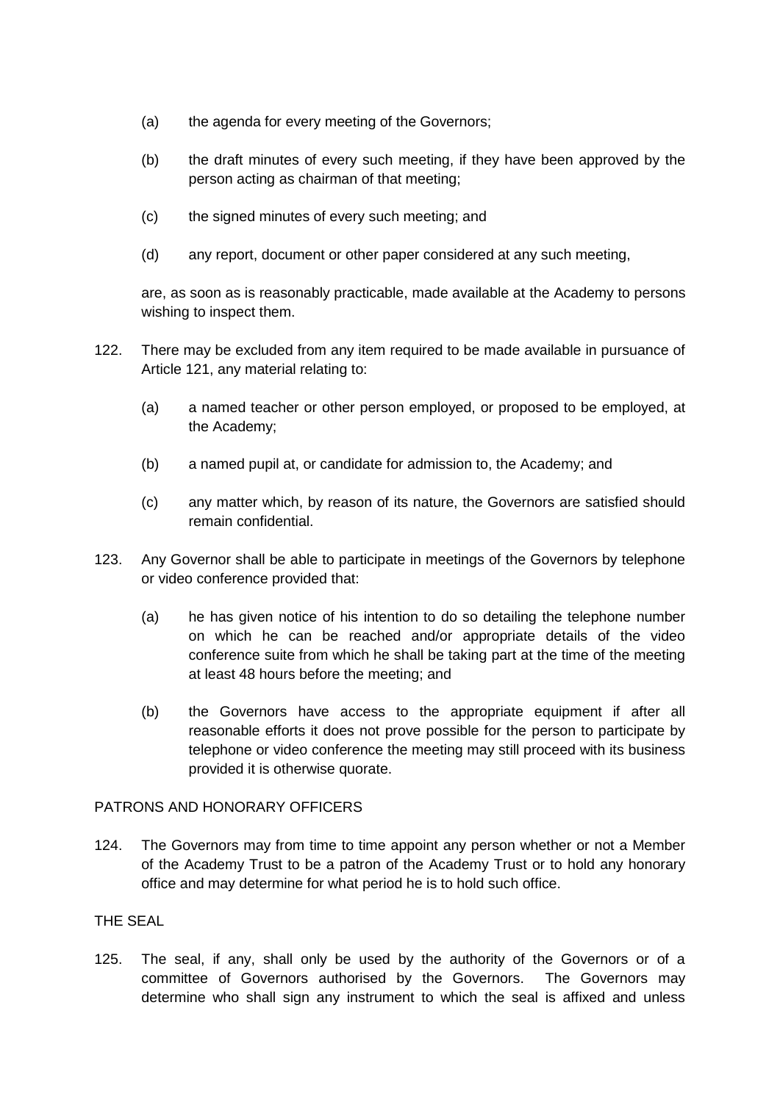- (a) the agenda for every meeting of the Governors;
- (b) the draft minutes of every such meeting, if they have been approved by the person acting as chairman of that meeting;
- (c) the signed minutes of every such meeting; and
- (d) any report, document or other paper considered at any such meeting,

are, as soon as is reasonably practicable, made available at the Academy to persons wishing to inspect them.

- <span id="page-28-0"></span>122. There may be excluded from any item required to be made available in pursuance of Article [121,](#page-27-2) any material relating to:
	- (a) a named teacher or other person employed, or proposed to be employed, at the Academy;
	- (b) a named pupil at, or candidate for admission to, the Academy; and
	- (c) any matter which, by reason of its nature, the Governors are satisfied should remain confidential.
- 123. Any Governor shall be able to participate in meetings of the Governors by telephone or video conference provided that:
	- (a) he has given notice of his intention to do so detailing the telephone number on which he can be reached and/or appropriate details of the video conference suite from which he shall be taking part at the time of the meeting at least 48 hours before the meeting; and
	- (b) the Governors have access to the appropriate equipment if after all reasonable efforts it does not prove possible for the person to participate by telephone or video conference the meeting may still proceed with its business provided it is otherwise quorate.

### PATRONS AND HONORARY OFFICERS

124. The Governors may from time to time appoint any person whether or not a Member of the Academy Trust to be a patron of the Academy Trust or to hold any honorary office and may determine for what period he is to hold such office.

### THE SEAL

125. The seal, if any, shall only be used by the authority of the Governors or of a committee of Governors authorised by the Governors. The Governors may determine who shall sign any instrument to which the seal is affixed and unless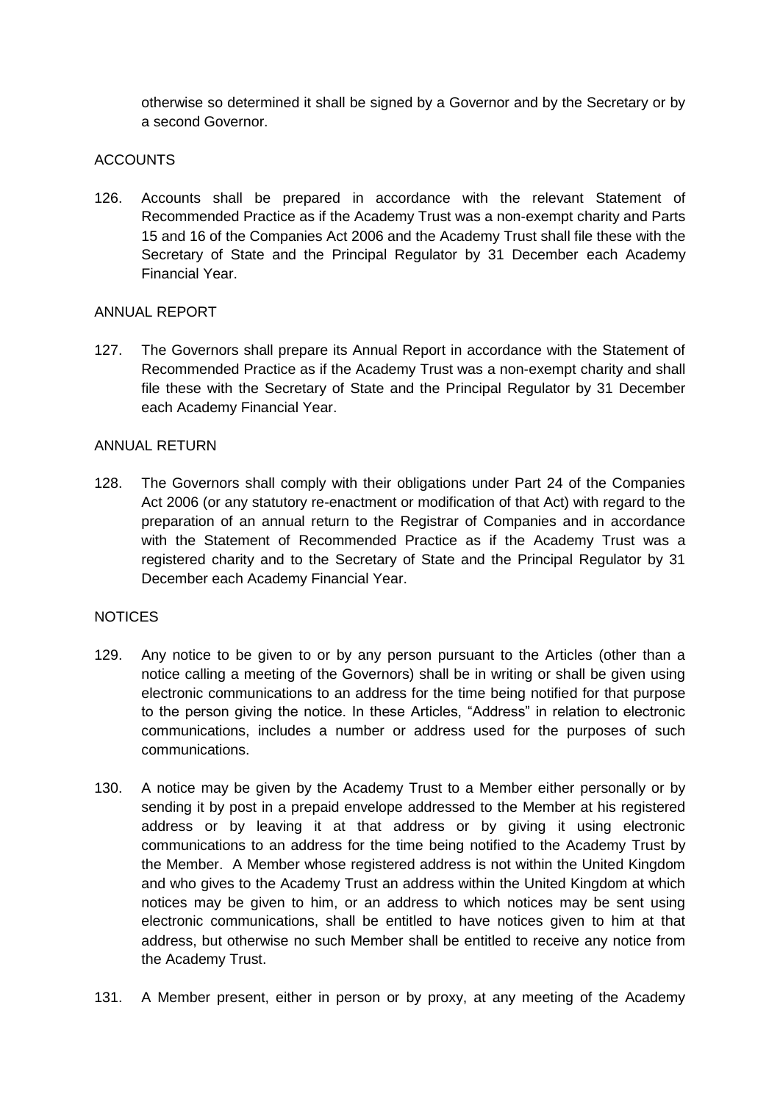otherwise so determined it shall be signed by a Governor and by the Secretary or by a second Governor.

# ACCOUNTS

126. Accounts shall be prepared in accordance with the relevant Statement of Recommended Practice as if the Academy Trust was a non-exempt charity and Parts 15 and 16 of the Companies Act 2006 and the Academy Trust shall file these with the Secretary of State and the Principal Regulator by 31 December each Academy Financial Year.

### ANNUAL REPORT

127. The Governors shall prepare its Annual Report in accordance with the Statement of Recommended Practice as if the Academy Trust was a non-exempt charity and shall file these with the Secretary of State and the Principal Regulator by 31 December each Academy Financial Year.

### ANNUAL RETURN

128. The Governors shall comply with their obligations under Part 24 of the Companies Act 2006 (or any statutory re-enactment or modification of that Act) with regard to the preparation of an annual return to the Registrar of Companies and in accordance with the Statement of Recommended Practice as if the Academy Trust was a registered charity and to the Secretary of State and the Principal Regulator by 31 December each Academy Financial Year.

### **NOTICES**

- 129. Any notice to be given to or by any person pursuant to the Articles (other than a notice calling a meeting of the Governors) shall be in writing or shall be given using electronic communications to an address for the time being notified for that purpose to the person giving the notice. In these Articles, "Address" in relation to electronic communications, includes a number or address used for the purposes of such communications.
- 130. A notice may be given by the Academy Trust to a Member either personally or by sending it by post in a prepaid envelope addressed to the Member at his registered address or by leaving it at that address or by giving it using electronic communications to an address for the time being notified to the Academy Trust by the Member. A Member whose registered address is not within the United Kingdom and who gives to the Academy Trust an address within the United Kingdom at which notices may be given to him, or an address to which notices may be sent using electronic communications, shall be entitled to have notices given to him at that address, but otherwise no such Member shall be entitled to receive any notice from the Academy Trust.
- 131. A Member present, either in person or by proxy, at any meeting of the Academy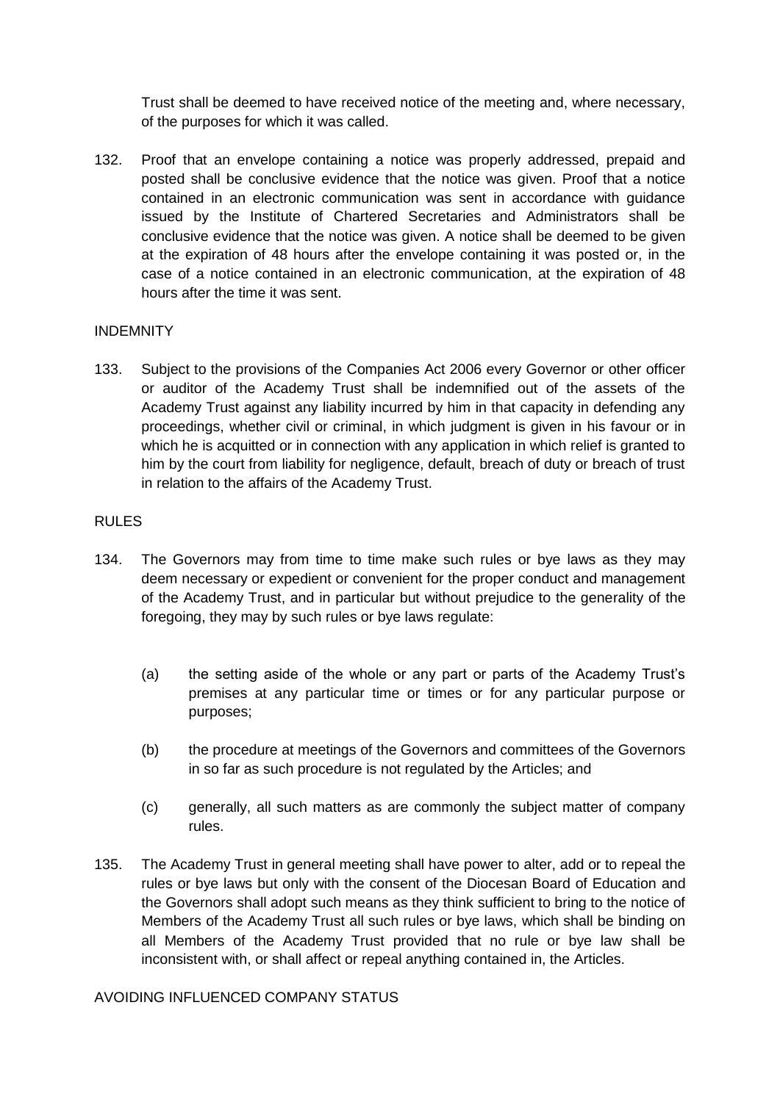Trust shall be deemed to have received notice of the meeting and, where necessary, of the purposes for which it was called.

132. Proof that an envelope containing a notice was properly addressed, prepaid and posted shall be conclusive evidence that the notice was given. Proof that a notice contained in an electronic communication was sent in accordance with guidance issued by the Institute of Chartered Secretaries and Administrators shall be conclusive evidence that the notice was given. A notice shall be deemed to be given at the expiration of 48 hours after the envelope containing it was posted or, in the case of a notice contained in an electronic communication, at the expiration of 48 hours after the time it was sent.

# INDEMNITY

133. Subject to the provisions of the Companies Act 2006 every Governor or other officer or auditor of the Academy Trust shall be indemnified out of the assets of the Academy Trust against any liability incurred by him in that capacity in defending any proceedings, whether civil or criminal, in which judgment is given in his favour or in which he is acquitted or in connection with any application in which relief is granted to him by the court from liability for negligence, default, breach of duty or breach of trust in relation to the affairs of the Academy Trust.

### RULES

- 134. The Governors may from time to time make such rules or bye laws as they may deem necessary or expedient or convenient for the proper conduct and management of the Academy Trust, and in particular but without prejudice to the generality of the foregoing, they may by such rules or bye laws regulate:
	- (a) the setting aside of the whole or any part or parts of the Academy Trust's premises at any particular time or times or for any particular purpose or purposes;
	- (b) the procedure at meetings of the Governors and committees of the Governors in so far as such procedure is not regulated by the Articles; and
	- (c) generally, all such matters as are commonly the subject matter of company rules.
- 135. The Academy Trust in general meeting shall have power to alter, add or to repeal the rules or bye laws but only with the consent of the Diocesan Board of Education and the Governors shall adopt such means as they think sufficient to bring to the notice of Members of the Academy Trust all such rules or bye laws, which shall be binding on all Members of the Academy Trust provided that no rule or bye law shall be inconsistent with, or shall affect or repeal anything contained in, the Articles.

# AVOIDING INFLUENCED COMPANY STATUS